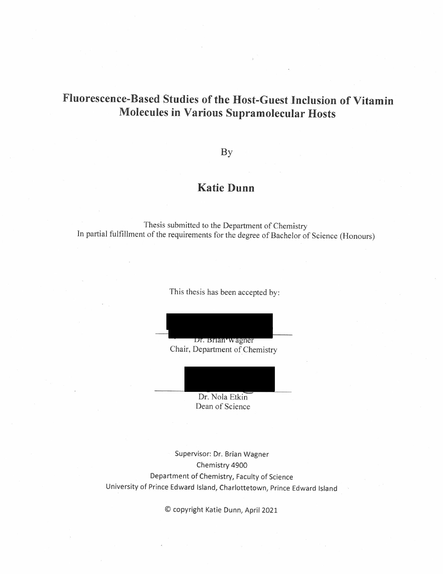# Fluorescence-Based Studies of the Host-Guest Inclusion of Vitamin **Molecules in Various Supramolecular Hosts**

### By

## **Katie Dunn**

Thesis submitted to the Department of Chemistry In partial fulfillment of the requirements for the degree of Bachelor of Science (Honours)

This thesis has been accepted by:

Dr. Brian Wagner

Chair, Department of Chemistry

Dr. Nola Etkin Dean of Science

Supervisor: Dr. Brian Wagner Chemistry 4900 Department of Chemistry, Faculty of Science University of Prince Edward Island, Charlottetown, Prince Edward Island

© copyright Katie Dunn, April 2021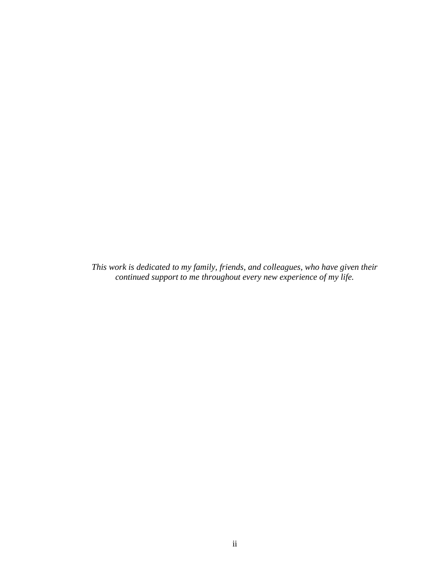*This work is dedicated to my family, friends, and colleagues, who have given their continued support to me throughout every new experience of my life.*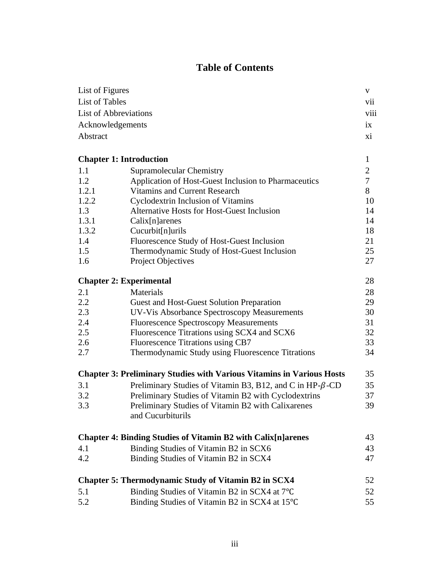## **Table of Contents**

| List of Figures                |                                                                              | V              |
|--------------------------------|------------------------------------------------------------------------------|----------------|
| List of Tables                 |                                                                              | vii            |
|                                | <b>List of Abbreviations</b><br>viii                                         |                |
| Acknowledgements               |                                                                              | ix             |
| Abstract                       |                                                                              | X <sub>i</sub> |
| <b>Chapter 1: Introduction</b> |                                                                              | $\mathbf{1}$   |
| 1.1                            | Supramolecular Chemistry                                                     | $\overline{2}$ |
| 1.2                            | Application of Host-Guest Inclusion to Pharmaceutics                         | $\overline{7}$ |
| 1.2.1                          | Vitamins and Current Research                                                | 8              |
| 1.2.2                          | Cyclodextrin Inclusion of Vitamins                                           | 10             |
| 1.3                            | Alternative Hosts for Host-Guest Inclusion                                   | 14             |
| 1.3.1                          | $Calix[n]$ arenes                                                            | 14             |
| 1.3.2                          | Cucurbit[n]urils                                                             | 18             |
| 1.4                            | Fluorescence Study of Host-Guest Inclusion                                   | 21             |
| 1.5                            | Thermodynamic Study of Host-Guest Inclusion                                  | 25             |
| 1.6                            | <b>Project Objectives</b>                                                    | 27             |
| <b>Chapter 2: Experimental</b> |                                                                              | 28             |
| 2.1                            | Materials                                                                    | 28             |
| 2.2                            | Guest and Host-Guest Solution Preparation                                    | 29             |
| 2.3                            | UV-Vis Absorbance Spectroscopy Measurements                                  | 30             |
| 2.4                            | <b>Fluorescence Spectroscopy Measurements</b>                                | 31             |
| 2.5                            | Fluorescence Titrations using SCX4 and SCX6                                  | 32             |
| 2.6                            | Fluorescence Titrations using CB7                                            | 33             |
| 2.7                            | Thermodynamic Study using Fluorescence Titrations                            | 34             |
|                                | <b>Chapter 3: Preliminary Studies with Various Vitamins in Various Hosts</b> | 35             |
| 3.1                            | Preliminary Studies of Vitamin B3, B12, and C in HP-β-CD                     | 35             |
| 3.2                            | Preliminary Studies of Vitamin B2 with Cyclodextrins                         | 37             |
| 3.3                            | Preliminary Studies of Vitamin B2 with Calixarenes<br>and Cucurbiturils      | 39             |
|                                | <b>Chapter 4: Binding Studies of Vitamin B2 with Calix[n]arenes</b>          | 43             |
| 4.1                            | Binding Studies of Vitamin B2 in SCX6                                        | 43             |
| 4.2                            | Binding Studies of Vitamin B2 in SCX4                                        | 47             |
|                                | <b>Chapter 5: Thermodynamic Study of Vitamin B2 in SCX4</b>                  | 52             |
| 5.1                            | Binding Studies of Vitamin B2 in SCX4 at 7°C                                 | 52             |
| 5.2                            | Binding Studies of Vitamin B2 in SCX4 at 15°C                                | 55             |
|                                |                                                                              |                |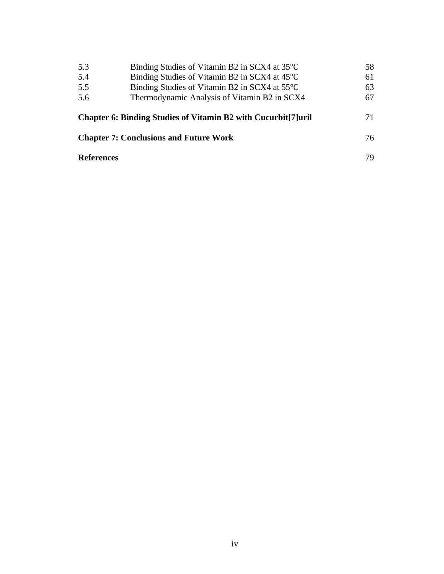| 5.3<br>5.4                                    | Binding Studies of Vitamin B2 in SCX4 at 35°C<br>Binding Studies of Vitamin B2 in SCX4 at 45°C                  | 58<br>61 |
|-----------------------------------------------|-----------------------------------------------------------------------------------------------------------------|----------|
| 5.5                                           | Binding Studies of Vitamin B2 in SCX4 at 55 <sup>o</sup> C                                                      | 63       |
| 5.6                                           | Thermodynamic Analysis of Vitamin B2 in SCX4<br>Chapter 6: Binding Studies of Vitamin B2 with Cucurbit [7] uril | 67<br>71 |
| <b>Chapter 7: Conclusions and Future Work</b> |                                                                                                                 | 76.      |
| <b>References</b>                             |                                                                                                                 | 79       |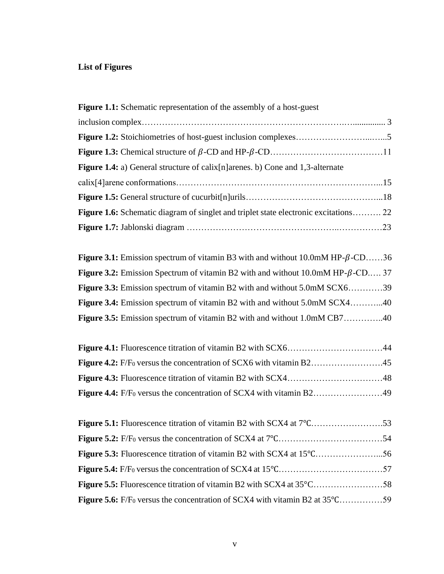## **List of Figures**

| <b>Figure 1.1:</b> Schematic representation of the assembly of a host-guest                 |  |
|---------------------------------------------------------------------------------------------|--|
|                                                                                             |  |
|                                                                                             |  |
|                                                                                             |  |
| <b>Figure 1.4:</b> a) General structure of calix[n] arenes. b) Cone and 1,3-alternate       |  |
|                                                                                             |  |
|                                                                                             |  |
| <b>Figure 1.6:</b> Schematic diagram of singlet and triplet state electronic excitations 22 |  |
|                                                                                             |  |

| <b>Figure 3.1:</b> Emission spectrum of vitamin B3 with and without $10.0 \text{m} \text{M}$ HP- $\beta$ -CD36 |  |
|----------------------------------------------------------------------------------------------------------------|--|
| <b>Figure 3.2:</b> Emission Spectrum of vitamin B2 with and without $10.0 \text{mM}$ HP- $\beta$ -CD 37        |  |
| Figure 3.3: Emission spectrum of vitamin B2 with and without 5.0mM SCX639                                      |  |
| Figure 3.4: Emission spectrum of vitamin B2 with and without 5.0mM SCX440                                      |  |
| <b>Figure 3.5:</b> Emission spectrum of vitamin B2 with and without 1.0mM CB740                                |  |

| <b>Figure 5.6:</b> F/F <sub>0</sub> versus the concentration of SCX4 with vitamin B2 at 35 <sup>o</sup> C59 |  |
|-------------------------------------------------------------------------------------------------------------|--|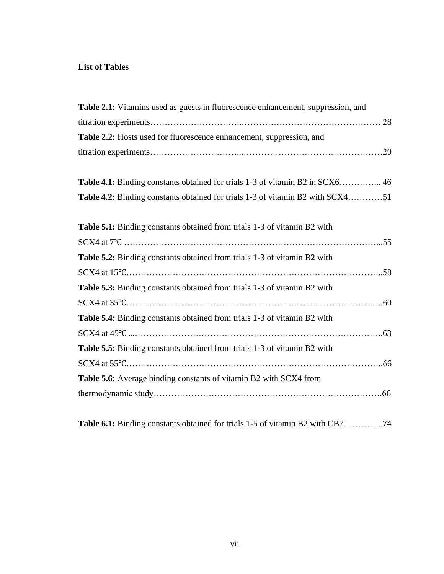### **List of Tables**

**Table 6.1:** Binding constants obtained for trials 1-5 of vitamin B2 with CB7…………..74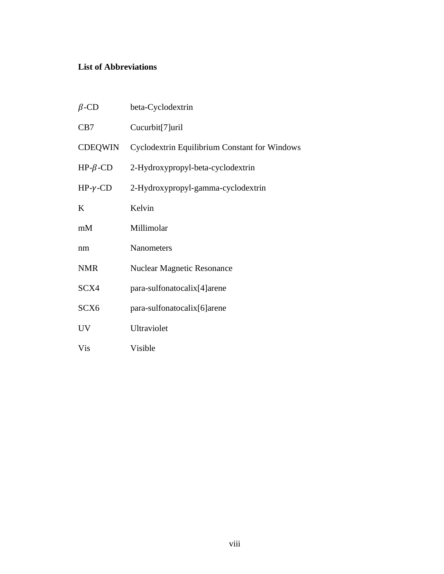### **List of Abbreviations**

| $\beta$ -CD        | beta-Cyclodextrin                             |
|--------------------|-----------------------------------------------|
| CB7                | Cucurbit[7]uril                               |
| CDEQWIN            | Cyclodextrin Equilibrium Constant for Windows |
| $HP$ - $\beta$ -CD | 2-Hydroxypropyl-beta-cyclodextrin             |
| $HP-\gamma$ -CD    | 2-Hydroxypropyl-gamma-cyclodextrin            |
| K                  | Kelvin                                        |
| mM                 | Millimolar                                    |
| nm                 | <b>Nanometers</b>                             |
| <b>NMR</b>         | <b>Nuclear Magnetic Resonance</b>             |
| SCX4               | para-sulfonatocalix[4] arene                  |
| SCX <sub>6</sub>   | para-sulfonatocalix[6]arene                   |
| <b>UV</b>          | Ultraviolet                                   |
| Vis                | Visible                                       |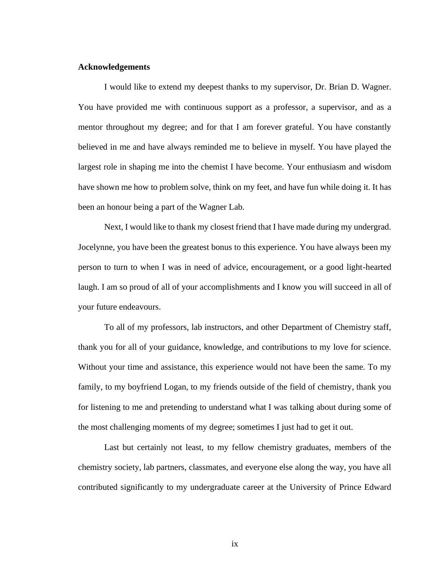#### **Acknowledgements**

I would like to extend my deepest thanks to my supervisor, Dr. Brian D. Wagner. You have provided me with continuous support as a professor, a supervisor, and as a mentor throughout my degree; and for that I am forever grateful. You have constantly believed in me and have always reminded me to believe in myself. You have played the largest role in shaping me into the chemist I have become. Your enthusiasm and wisdom have shown me how to problem solve, think on my feet, and have fun while doing it. It has been an honour being a part of the Wagner Lab.

Next, I would like to thank my closest friend that I have made during my undergrad. Jocelynne, you have been the greatest bonus to this experience. You have always been my person to turn to when I was in need of advice, encouragement, or a good light-hearted laugh. I am so proud of all of your accomplishments and I know you will succeed in all of your future endeavours.

To all of my professors, lab instructors, and other Department of Chemistry staff, thank you for all of your guidance, knowledge, and contributions to my love for science. Without your time and assistance, this experience would not have been the same. To my family, to my boyfriend Logan, to my friends outside of the field of chemistry, thank you for listening to me and pretending to understand what I was talking about during some of the most challenging moments of my degree; sometimes I just had to get it out.

Last but certainly not least, to my fellow chemistry graduates, members of the chemistry society, lab partners, classmates, and everyone else along the way, you have all contributed significantly to my undergraduate career at the University of Prince Edward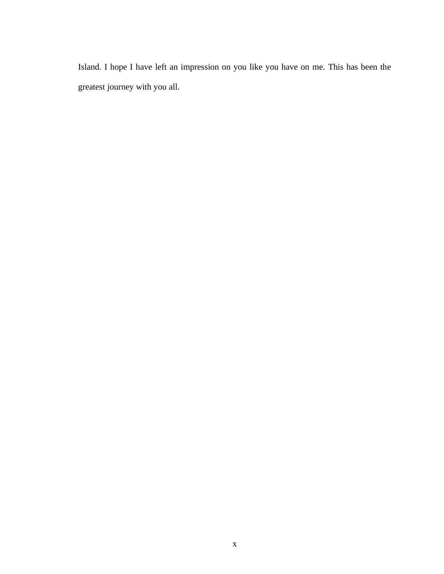Island. I hope I have left an impression on you like you have on me. This has been the greatest journey with you all.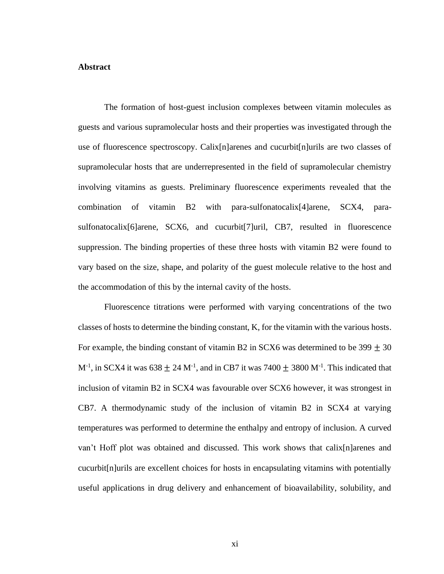#### **Abstract**

The formation of host-guest inclusion complexes between vitamin molecules as guests and various supramolecular hosts and their properties was investigated through the use of fluorescence spectroscopy. Calix[n]arenes and cucurbit[n]urils are two classes of supramolecular hosts that are underrepresented in the field of supramolecular chemistry involving vitamins as guests. Preliminary fluorescence experiments revealed that the combination of vitamin B2 with para-sulfonatocalix[4]arene, SCX4, parasulfonatocalix[6]arene, SCX6, and cucurbit[7]uril, CB7, resulted in fluorescence suppression. The binding properties of these three hosts with vitamin B2 were found to vary based on the size, shape, and polarity of the guest molecule relative to the host and the accommodation of this by the internal cavity of the hosts.

Fluorescence titrations were performed with varying concentrations of the two classes of hosts to determine the binding constant, K, for the vitamin with the various hosts. For example, the binding constant of vitamin B2 in SCX6 was determined to be  $399 \pm 30$ M<sup>-1</sup>, in SCX4 it was  $638 \pm 24$  M<sup>-1</sup>, and in CB7 it was 7400  $\pm$  3800 M<sup>-1</sup>. This indicated that inclusion of vitamin B2 in SCX4 was favourable over SCX6 however, it was strongest in CB7. A thermodynamic study of the inclusion of vitamin B2 in SCX4 at varying temperatures was performed to determine the enthalpy and entropy of inclusion. A curved van't Hoff plot was obtained and discussed. This work shows that calix[n]arenes and cucurbit[n]urils are excellent choices for hosts in encapsulating vitamins with potentially useful applications in drug delivery and enhancement of bioavailability, solubility, and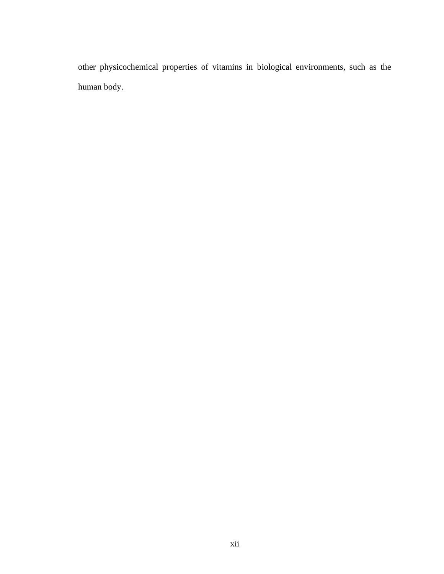other physicochemical properties of vitamins in biological environments, such as the human body.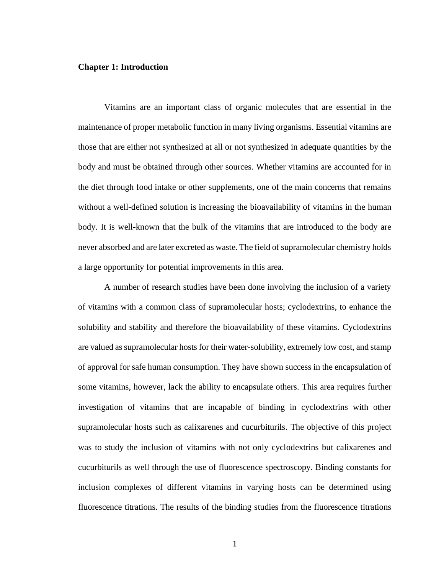#### **Chapter 1: Introduction**

Vitamins are an important class of organic molecules that are essential in the maintenance of proper metabolic function in many living organisms. Essential vitamins are those that are either not synthesized at all or not synthesized in adequate quantities by the body and must be obtained through other sources. Whether vitamins are accounted for in the diet through food intake or other supplements, one of the main concerns that remains without a well-defined solution is increasing the bioavailability of vitamins in the human body. It is well-known that the bulk of the vitamins that are introduced to the body are never absorbed and are later excreted as waste. The field of supramolecular chemistry holds a large opportunity for potential improvements in this area.

A number of research studies have been done involving the inclusion of a variety of vitamins with a common class of supramolecular hosts; cyclodextrins, to enhance the solubility and stability and therefore the bioavailability of these vitamins. Cyclodextrins are valued as supramolecular hosts for their water-solubility, extremely low cost, and stamp of approval for safe human consumption. They have shown success in the encapsulation of some vitamins, however, lack the ability to encapsulate others. This area requires further investigation of vitamins that are incapable of binding in cyclodextrins with other supramolecular hosts such as calixarenes and cucurbiturils. The objective of this project was to study the inclusion of vitamins with not only cyclodextrins but calixarenes and cucurbiturils as well through the use of fluorescence spectroscopy. Binding constants for inclusion complexes of different vitamins in varying hosts can be determined using fluorescence titrations. The results of the binding studies from the fluorescence titrations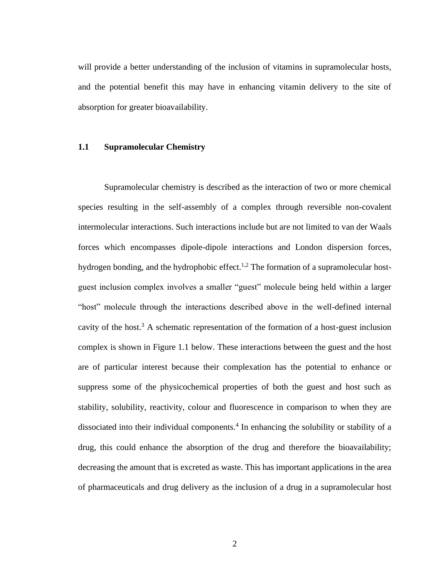will provide a better understanding of the inclusion of vitamins in supramolecular hosts, and the potential benefit this may have in enhancing vitamin delivery to the site of absorption for greater bioavailability.

#### **1.1 Supramolecular Chemistry**

Supramolecular chemistry is described as the interaction of two or more chemical species resulting in the self-assembly of a complex through reversible non-covalent intermolecular interactions. Such interactions include but are not limited to van der Waals forces which encompasses dipole-dipole interactions and London dispersion forces, hydrogen bonding, and the hydrophobic effect.<sup>1,2</sup> The formation of a supramolecular hostguest inclusion complex involves a smaller "guest" molecule being held within a larger "host" molecule through the interactions described above in the well-defined internal cavity of the host.<sup>3</sup> A schematic representation of the formation of a host-guest inclusion complex is shown in Figure 1.1 below. These interactions between the guest and the host are of particular interest because their complexation has the potential to enhance or suppress some of the physicochemical properties of both the guest and host such as stability, solubility, reactivity, colour and fluorescence in comparison to when they are dissociated into their individual components.<sup>4</sup> In enhancing the solubility or stability of a drug, this could enhance the absorption of the drug and therefore the bioavailability; decreasing the amount that is excreted as waste. This has important applications in the area of pharmaceuticals and drug delivery as the inclusion of a drug in a supramolecular host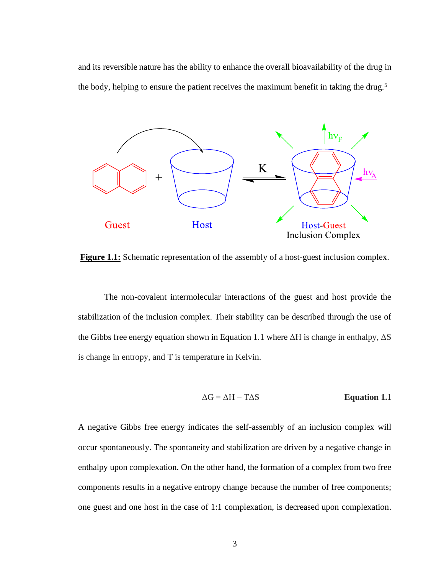and its reversible nature has the ability to enhance the overall bioavailability of the drug in the body, helping to ensure the patient receives the maximum benefit in taking the drug.<sup>5</sup>



**Figure 1.1:** Schematic representation of the assembly of a host-guest inclusion complex.

The non-covalent intermolecular interactions of the guest and host provide the stabilization of the inclusion complex. Their stability can be described through the use of the Gibbs free energy equation shown in Equation 1.1 where  $\Delta H$  is change in enthalpy,  $\Delta S$ is change in entropy, and T is temperature in Kelvin.

$$
\Delta G = \Delta H - T \Delta S
$$
 **Equation 1.1**

A negative Gibbs free energy indicates the self-assembly of an inclusion complex will occur spontaneously. The spontaneity and stabilization are driven by a negative change in enthalpy upon complexation. On the other hand, the formation of a complex from two free components results in a negative entropy change because the number of free components; one guest and one host in the case of 1:1 complexation, is decreased upon complexation.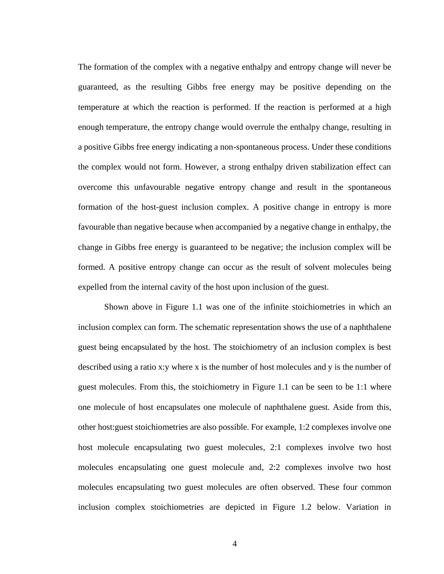The formation of the complex with a negative enthalpy and entropy change will never be guaranteed, as the resulting Gibbs free energy may be positive depending on the temperature at which the reaction is performed. If the reaction is performed at a high enough temperature, the entropy change would overrule the enthalpy change, resulting in a positive Gibbs free energy indicating a non-spontaneous process. Under these conditions the complex would not form. However, a strong enthalpy driven stabilization effect can overcome this unfavourable negative entropy change and result in the spontaneous formation of the host-guest inclusion complex. A positive change in entropy is more favourable than negative because when accompanied by a negative change in enthalpy, the change in Gibbs free energy is guaranteed to be negative; the inclusion complex will be formed. A positive entropy change can occur as the result of solvent molecules being expelled from the internal cavity of the host upon inclusion of the guest.

Shown above in Figure 1.1 was one of the infinite stoichiometries in which an inclusion complex can form. The schematic representation shows the use of a naphthalene guest being encapsulated by the host. The stoichiometry of an inclusion complex is best described using a ratio x:y where x is the number of host molecules and y is the number of guest molecules. From this, the stoichiometry in Figure 1.1 can be seen to be 1:1 where one molecule of host encapsulates one molecule of naphthalene guest. Aside from this, other host:guest stoichiometries are also possible. For example, 1:2 complexes involve one host molecule encapsulating two guest molecules, 2:1 complexes involve two host molecules encapsulating one guest molecule and, 2:2 complexes involve two host molecules encapsulating two guest molecules are often observed. These four common inclusion complex stoichiometries are depicted in Figure 1.2 below. Variation in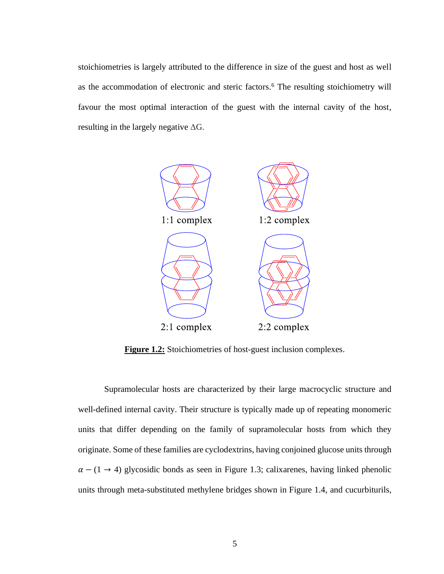stoichiometries is largely attributed to the difference in size of the guest and host as well as the accommodation of electronic and steric factors.<sup>6</sup> The resulting stoichiometry will favour the most optimal interaction of the guest with the internal cavity of the host, resulting in the largely negative  $\Delta G$ .



**Figure 1.2:** Stoichiometries of host-guest inclusion complexes.

Supramolecular hosts are characterized by their large macrocyclic structure and well-defined internal cavity. Their structure is typically made up of repeating monomeric units that differ depending on the family of supramolecular hosts from which they originate. Some of these families are cyclodextrins, having conjoined glucose units through  $\alpha - (1 \rightarrow 4)$  glycosidic bonds as seen in Figure 1.3; calixarenes, having linked phenolic units through meta-substituted methylene bridges shown in Figure 1.4, and cucurbiturils,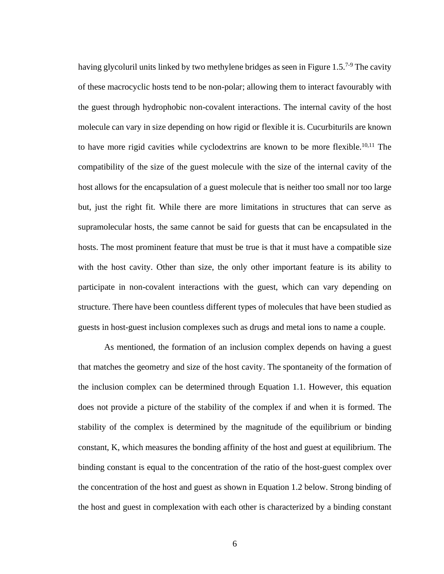having glycoluril units linked by two methylene bridges as seen in Figure 1.5.<sup>7-9</sup> The cavity of these macrocyclic hosts tend to be non-polar; allowing them to interact favourably with the guest through hydrophobic non-covalent interactions. The internal cavity of the host molecule can vary in size depending on how rigid or flexible it is. Cucurbiturils are known to have more rigid cavities while cyclodextrins are known to be more flexible.<sup>10,11</sup> The compatibility of the size of the guest molecule with the size of the internal cavity of the host allows for the encapsulation of a guest molecule that is neither too small nor too large but, just the right fit. While there are more limitations in structures that can serve as supramolecular hosts, the same cannot be said for guests that can be encapsulated in the hosts. The most prominent feature that must be true is that it must have a compatible size with the host cavity. Other than size, the only other important feature is its ability to participate in non-covalent interactions with the guest, which can vary depending on structure. There have been countless different types of molecules that have been studied as guests in host-guest inclusion complexes such as drugs and metal ions to name a couple.

As mentioned, the formation of an inclusion complex depends on having a guest that matches the geometry and size of the host cavity. The spontaneity of the formation of the inclusion complex can be determined through Equation 1.1. However, this equation does not provide a picture of the stability of the complex if and when it is formed. The stability of the complex is determined by the magnitude of the equilibrium or binding constant, K, which measures the bonding affinity of the host and guest at equilibrium. The binding constant is equal to the concentration of the ratio of the host-guest complex over the concentration of the host and guest as shown in Equation 1.2 below. Strong binding of the host and guest in complexation with each other is characterized by a binding constant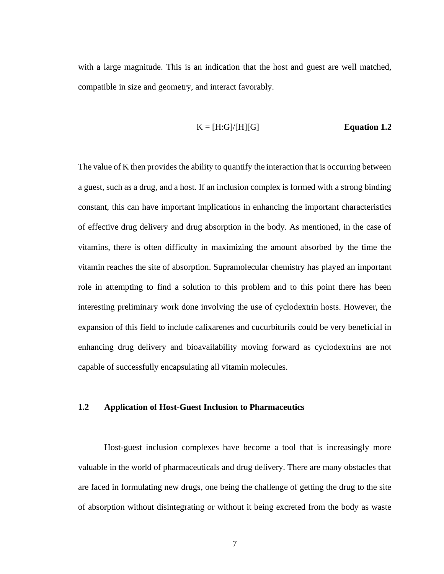with a large magnitude. This is an indication that the host and guest are well matched, compatible in size and geometry, and interact favorably.

#### $K = [H:G]/[H][G]$  **Equation 1.2**

The value of K then provides the ability to quantify the interaction that is occurring between a guest, such as a drug, and a host. If an inclusion complex is formed with a strong binding constant, this can have important implications in enhancing the important characteristics of effective drug delivery and drug absorption in the body. As mentioned, in the case of vitamins, there is often difficulty in maximizing the amount absorbed by the time the vitamin reaches the site of absorption. Supramolecular chemistry has played an important role in attempting to find a solution to this problem and to this point there has been interesting preliminary work done involving the use of cyclodextrin hosts. However, the expansion of this field to include calixarenes and cucurbiturils could be very beneficial in enhancing drug delivery and bioavailability moving forward as cyclodextrins are not capable of successfully encapsulating all vitamin molecules.

#### **1.2 Application of Host-Guest Inclusion to Pharmaceutics**

Host-guest inclusion complexes have become a tool that is increasingly more valuable in the world of pharmaceuticals and drug delivery. There are many obstacles that are faced in formulating new drugs, one being the challenge of getting the drug to the site of absorption without disintegrating or without it being excreted from the body as waste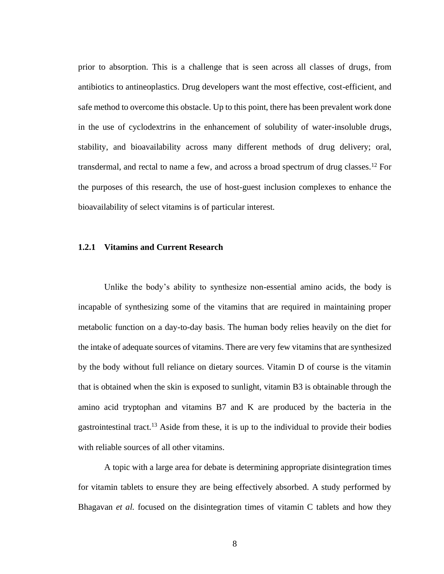prior to absorption. This is a challenge that is seen across all classes of drugs, from antibiotics to antineoplastics. Drug developers want the most effective, cost-efficient, and safe method to overcome this obstacle. Up to this point, there has been prevalent work done in the use of cyclodextrins in the enhancement of solubility of water-insoluble drugs, stability, and bioavailability across many different methods of drug delivery; oral, transdermal, and rectal to name a few, and across a broad spectrum of drug classes.<sup>12</sup> For the purposes of this research, the use of host-guest inclusion complexes to enhance the bioavailability of select vitamins is of particular interest.

#### **1.2.1 Vitamins and Current Research**

Unlike the body's ability to synthesize non-essential amino acids, the body is incapable of synthesizing some of the vitamins that are required in maintaining proper metabolic function on a day-to-day basis. The human body relies heavily on the diet for the intake of adequate sources of vitamins. There are very few vitamins that are synthesized by the body without full reliance on dietary sources. Vitamin D of course is the vitamin that is obtained when the skin is exposed to sunlight, vitamin B3 is obtainable through the amino acid tryptophan and vitamins B7 and K are produced by the bacteria in the gastrointestinal tract.<sup>13</sup> Aside from these, it is up to the individual to provide their bodies with reliable sources of all other vitamins.

A topic with a large area for debate is determining appropriate disintegration times for vitamin tablets to ensure they are being effectively absorbed. A study performed by Bhagavan *et al.* focused on the disintegration times of vitamin C tablets and how they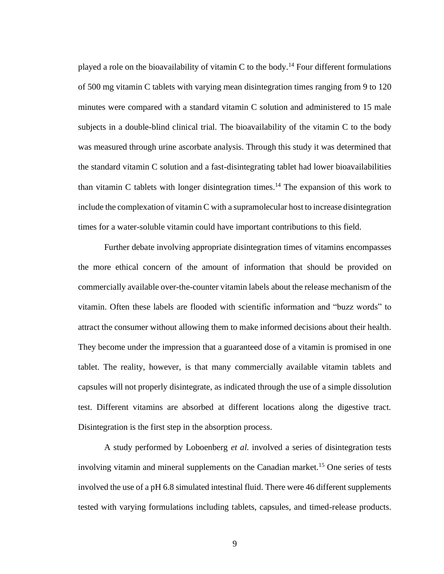played a role on the bioavailability of vitamin C to the body.<sup>14</sup> Four different formulations of 500 mg vitamin C tablets with varying mean disintegration times ranging from 9 to 120 minutes were compared with a standard vitamin C solution and administered to 15 male subjects in a double-blind clinical trial. The bioavailability of the vitamin C to the body was measured through urine ascorbate analysis. Through this study it was determined that the standard vitamin C solution and a fast-disintegrating tablet had lower bioavailabilities than vitamin C tablets with longer disintegration times. <sup>14</sup> The expansion of this work to include the complexation of vitamin C with a supramolecular host to increase disintegration times for a water-soluble vitamin could have important contributions to this field.

Further debate involving appropriate disintegration times of vitamins encompasses the more ethical concern of the amount of information that should be provided on commercially available over-the-counter vitamin labels about the release mechanism of the vitamin. Often these labels are flooded with scientific information and "buzz words" to attract the consumer without allowing them to make informed decisions about their health. They become under the impression that a guaranteed dose of a vitamin is promised in one tablet. The reality, however, is that many commercially available vitamin tablets and capsules will not properly disintegrate, as indicated through the use of a simple dissolution test. Different vitamins are absorbed at different locations along the digestive tract. Disintegration is the first step in the absorption process.

A study performed by Loboenberg *et al.* involved a series of disintegration tests involving vitamin and mineral supplements on the Canadian market.<sup>15</sup> One series of tests involved the use of a pH 6.8 simulated intestinal fluid. There were 46 different supplements tested with varying formulations including tablets, capsules, and timed-release products.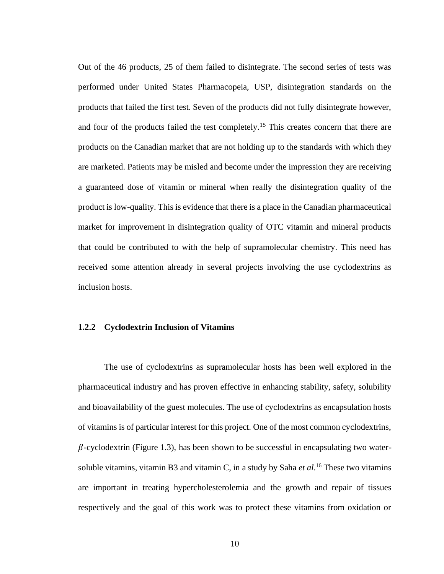Out of the 46 products, 25 of them failed to disintegrate. The second series of tests was performed under United States Pharmacopeia, USP, disintegration standards on the products that failed the first test. Seven of the products did not fully disintegrate however, and four of the products failed the test completely.<sup>15</sup> This creates concern that there are products on the Canadian market that are not holding up to the standards with which they are marketed. Patients may be misled and become under the impression they are receiving a guaranteed dose of vitamin or mineral when really the disintegration quality of the product is low-quality. This is evidence that there is a place in the Canadian pharmaceutical market for improvement in disintegration quality of OTC vitamin and mineral products that could be contributed to with the help of supramolecular chemistry. This need has received some attention already in several projects involving the use cyclodextrins as inclusion hosts.

#### **1.2.2 Cyclodextrin Inclusion of Vitamins**

The use of cyclodextrins as supramolecular hosts has been well explored in the pharmaceutical industry and has proven effective in enhancing stability, safety, solubility and bioavailability of the guest molecules. The use of cyclodextrins as encapsulation hosts of vitamins is of particular interest for this project. One of the most common cyclodextrins,  $\beta$ -cyclodextrin (Figure 1.3), has been shown to be successful in encapsulating two watersoluble vitamins, vitamin B3 and vitamin C, in a study by Saha *et al*. <sup>16</sup> These two vitamins are important in treating hypercholesterolemia and the growth and repair of tissues respectively and the goal of this work was to protect these vitamins from oxidation or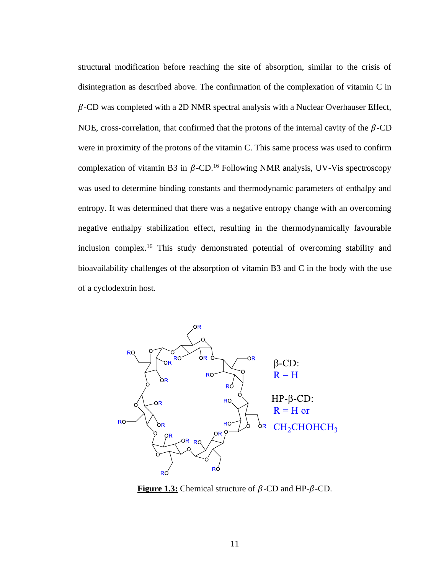structural modification before reaching the site of absorption, similar to the crisis of disintegration as described above. The confirmation of the complexation of vitamin C in  $\beta$ -CD was completed with a 2D NMR spectral analysis with a Nuclear Overhauser Effect, NOE, cross-correlation, that confirmed that the protons of the internal cavity of the  $\beta$ -CD were in proximity of the protons of the vitamin C. This same process was used to confirm complexation of vitamin B3 in  $\beta$ -CD.<sup>16</sup> Following NMR analysis, UV-Vis spectroscopy was used to determine binding constants and thermodynamic parameters of enthalpy and entropy. It was determined that there was a negative entropy change with an overcoming negative enthalpy stabilization effect, resulting in the thermodynamically favourable inclusion complex.<sup>16</sup> This study demonstrated potential of overcoming stability and bioavailability challenges of the absorption of vitamin B3 and C in the body with the use of a cyclodextrin host.



**Figure 1.3:** Chemical structure of  $\beta$ -CD and HP- $\beta$ -CD.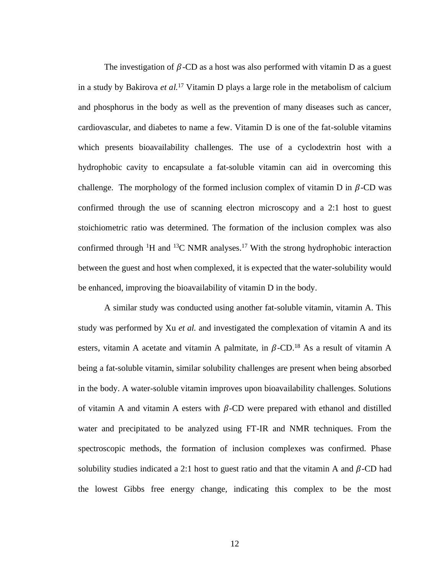The investigation of  $\beta$ -CD as a host was also performed with vitamin D as a guest in a study by Bakirova *et al.*<sup>17</sup> Vitamin D plays a large role in the metabolism of calcium and phosphorus in the body as well as the prevention of many diseases such as cancer, cardiovascular, and diabetes to name a few. Vitamin D is one of the fat-soluble vitamins which presents bioavailability challenges. The use of a cyclodextrin host with a hydrophobic cavity to encapsulate a fat-soluble vitamin can aid in overcoming this challenge. The morphology of the formed inclusion complex of vitamin D in  $\beta$ -CD was confirmed through the use of scanning electron microscopy and a 2:1 host to guest stoichiometric ratio was determined. The formation of the inclusion complex was also confirmed through  ${}^{1}H$  and  ${}^{13}C$  NMR analyses.<sup>17</sup> With the strong hydrophobic interaction between the guest and host when complexed, it is expected that the water-solubility would be enhanced, improving the bioavailability of vitamin D in the body.

A similar study was conducted using another fat-soluble vitamin, vitamin A. This study was performed by Xu *et al.* and investigated the complexation of vitamin A and its esters, vitamin A acetate and vitamin A palmitate, in  $\beta$ -CD.<sup>18</sup> As a result of vitamin A being a fat-soluble vitamin, similar solubility challenges are present when being absorbed in the body. A water-soluble vitamin improves upon bioavailability challenges. Solutions of vitamin A and vitamin A esters with  $\beta$ -CD were prepared with ethanol and distilled water and precipitated to be analyzed using FT-IR and NMR techniques. From the spectroscopic methods, the formation of inclusion complexes was confirmed. Phase solubility studies indicated a 2:1 host to guest ratio and that the vitamin A and  $\beta$ -CD had the lowest Gibbs free energy change, indicating this complex to be the most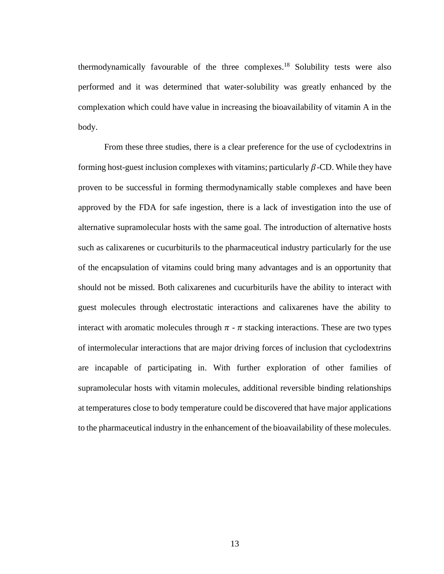thermodynamically favourable of the three complexes.<sup>18</sup> Solubility tests were also performed and it was determined that water-solubility was greatly enhanced by the complexation which could have value in increasing the bioavailability of vitamin A in the body.

From these three studies, there is a clear preference for the use of cyclodextrins in forming host-guest inclusion complexes with vitamins; particularly  $\beta$ -CD. While they have proven to be successful in forming thermodynamically stable complexes and have been approved by the FDA for safe ingestion, there is a lack of investigation into the use of alternative supramolecular hosts with the same goal. The introduction of alternative hosts such as calixarenes or cucurbiturils to the pharmaceutical industry particularly for the use of the encapsulation of vitamins could bring many advantages and is an opportunity that should not be missed. Both calixarenes and cucurbiturils have the ability to interact with guest molecules through electrostatic interactions and calixarenes have the ability to interact with aromatic molecules through  $\pi$  -  $\pi$  stacking interactions. These are two types of intermolecular interactions that are major driving forces of inclusion that cyclodextrins are incapable of participating in. With further exploration of other families of supramolecular hosts with vitamin molecules, additional reversible binding relationships at temperatures close to body temperature could be discovered that have major applications to the pharmaceutical industry in the enhancement of the bioavailability of these molecules.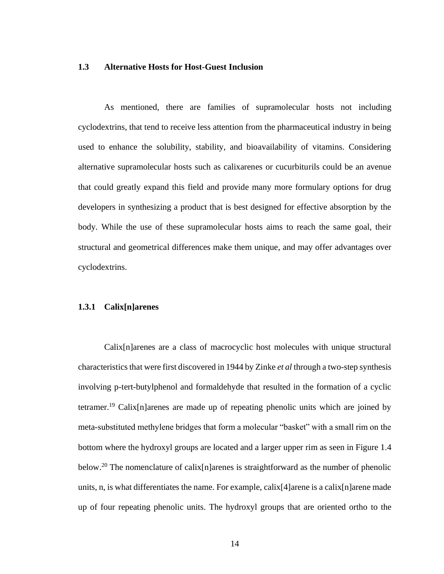#### **1.3 Alternative Hosts for Host-Guest Inclusion**

As mentioned, there are families of supramolecular hosts not including cyclodextrins, that tend to receive less attention from the pharmaceutical industry in being used to enhance the solubility, stability, and bioavailability of vitamins. Considering alternative supramolecular hosts such as calixarenes or cucurbiturils could be an avenue that could greatly expand this field and provide many more formulary options for drug developers in synthesizing a product that is best designed for effective absorption by the body. While the use of these supramolecular hosts aims to reach the same goal, their structural and geometrical differences make them unique, and may offer advantages over cyclodextrins.

#### **1.3.1 Calix[n]arenes**

Calix[n]arenes are a class of macrocyclic host molecules with unique structural characteristics that were first discovered in 1944 by Zinke *et al* through a two-step synthesis involving p-tert-butylphenol and formaldehyde that resulted in the formation of a cyclic tetramer.<sup>19</sup> Calix[n]arenes are made up of repeating phenolic units which are joined by meta-substituted methylene bridges that form a molecular "basket" with a small rim on the bottom where the hydroxyl groups are located and a larger upper rim as seen in Figure 1.4 below.<sup>20</sup> The nomenclature of calix[n]arenes is straightforward as the number of phenolic units, n, is what differentiates the name. For example, calix[4]arene is a calix[n]arene made up of four repeating phenolic units. The hydroxyl groups that are oriented ortho to the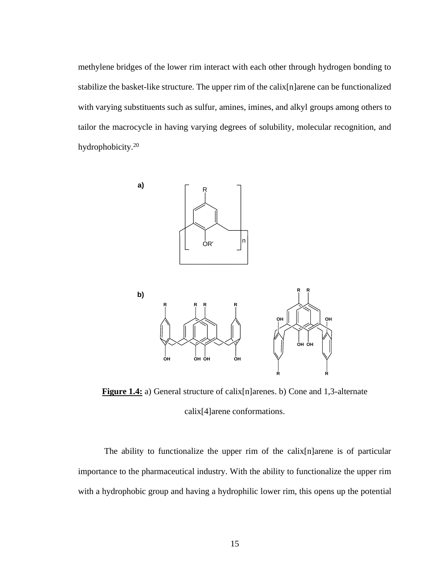methylene bridges of the lower rim interact with each other through hydrogen bonding to stabilize the basket-like structure. The upper rim of the calix[n]arene can be functionalized with varying substituents such as sulfur, amines, imines, and alkyl groups among others to tailor the macrocycle in having varying degrees of solubility, molecular recognition, and hydrophobicity.<sup>20</sup>



**Figure 1.4:** a) General structure of calix[n]arenes. b) Cone and 1,3-alternate calix[4]arene conformations.

The ability to functionalize the upper rim of the calix[n]arene is of particular importance to the pharmaceutical industry. With the ability to functionalize the upper rim with a hydrophobic group and having a hydrophilic lower rim, this opens up the potential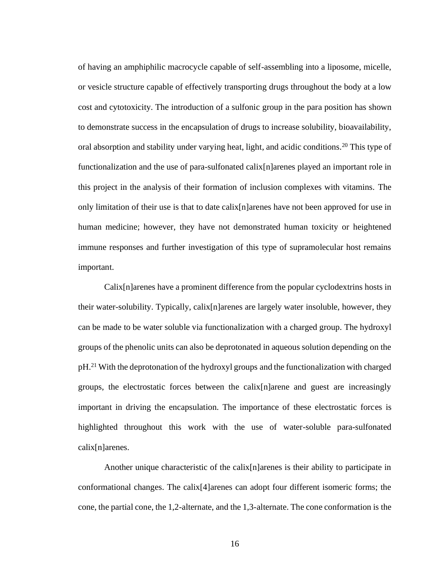of having an amphiphilic macrocycle capable of self-assembling into a liposome, micelle, or vesicle structure capable of effectively transporting drugs throughout the body at a low cost and cytotoxicity. The introduction of a sulfonic group in the para position has shown to demonstrate success in the encapsulation of drugs to increase solubility, bioavailability, oral absorption and stability under varying heat, light, and acidic conditions.<sup>20</sup> This type of functionalization and the use of para-sulfonated calix[n]arenes played an important role in this project in the analysis of their formation of inclusion complexes with vitamins. The only limitation of their use is that to date calix[n]arenes have not been approved for use in human medicine; however, they have not demonstrated human toxicity or heightened immune responses and further investigation of this type of supramolecular host remains important.

Calix[n]arenes have a prominent difference from the popular cyclodextrins hosts in their water-solubility. Typically, calix[n]arenes are largely water insoluble, however, they can be made to be water soluble via functionalization with a charged group. The hydroxyl groups of the phenolic units can also be deprotonated in aqueous solution depending on the pH.<sup>21</sup> With the deprotonation of the hydroxyl groups and the functionalization with charged groups, the electrostatic forces between the calix[n]arene and guest are increasingly important in driving the encapsulation. The importance of these electrostatic forces is highlighted throughout this work with the use of water-soluble para-sulfonated calix[n]arenes.

Another unique characteristic of the calix[n]arenes is their ability to participate in conformational changes. The calix[4]arenes can adopt four different isomeric forms; the cone, the partial cone, the 1,2-alternate, and the 1,3-alternate. The cone conformation is the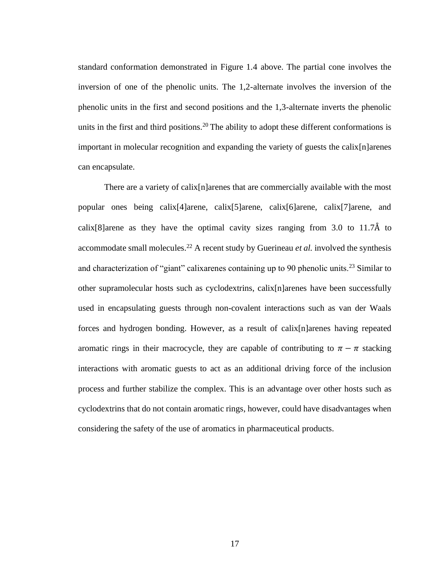standard conformation demonstrated in Figure 1.4 above. The partial cone involves the inversion of one of the phenolic units. The 1,2-alternate involves the inversion of the phenolic units in the first and second positions and the 1,3-alternate inverts the phenolic units in the first and third positions.<sup>20</sup> The ability to adopt these different conformations is important in molecular recognition and expanding the variety of guests the calix[n]arenes can encapsulate.

There are a variety of calix[n]arenes that are commercially available with the most popular ones being calix[4]arene, calix[5]arene, calix[6]arene, calix[7]arene, and calix[8]arene as they have the optimal cavity sizes ranging from  $3.0$  to  $11.7\text{\AA}$  to accommodate small molecules.<sup>22</sup> A recent study by Guerineau *et al.* involved the synthesis and characterization of "giant" calixarenes containing up to 90 phenolic units.<sup>23</sup> Similar to other supramolecular hosts such as cyclodextrins, calix[n]arenes have been successfully used in encapsulating guests through non-covalent interactions such as van der Waals forces and hydrogen bonding. However, as a result of calix[n]arenes having repeated aromatic rings in their macrocycle, they are capable of contributing to  $\pi - \pi$  stacking interactions with aromatic guests to act as an additional driving force of the inclusion process and further stabilize the complex. This is an advantage over other hosts such as cyclodextrins that do not contain aromatic rings, however, could have disadvantages when considering the safety of the use of aromatics in pharmaceutical products.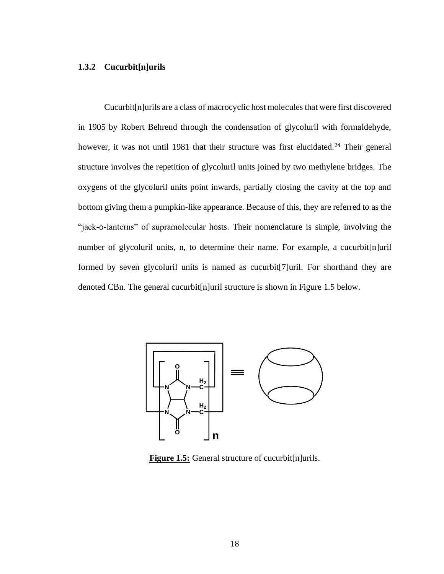#### **1.3.2 Cucurbit[n]urils**

Cucurbit[n]urils are a class of macrocyclic host molecules that were first discovered in 1905 by Robert Behrend through the condensation of glycoluril with formaldehyde, however, it was not until 1981 that their structure was first elucidated.<sup>24</sup> Their general structure involves the repetition of glycoluril units joined by two methylene bridges. The oxygens of the glycoluril units point inwards, partially closing the cavity at the top and bottom giving them a pumpkin-like appearance. Because of this, they are referred to as the "jack-o-lanterns" of supramolecular hosts. Their nomenclature is simple, involving the number of glycoluril units, n, to determine their name. For example, a cucurbit[n]uril formed by seven glycoluril units is named as cucurbit[7]uril. For shorthand they are denoted CBn. The general cucurbit[n]uril structure is shown in Figure 1.5 below.



**Figure 1.5:** General structure of cucurbit[n]urils.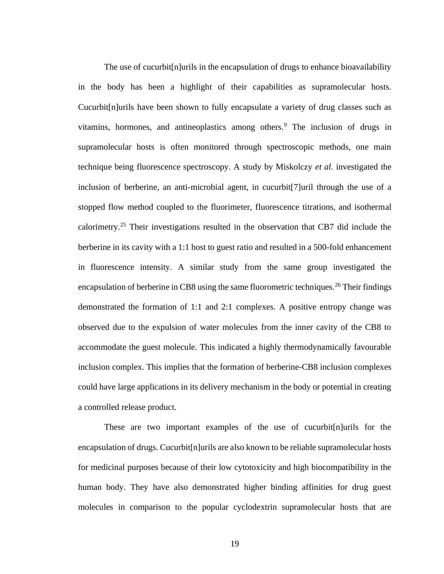The use of cucurbit[n]urils in the encapsulation of drugs to enhance bioavailability in the body has been a highlight of their capabilities as supramolecular hosts. Cucurbit[n]urils have been shown to fully encapsulate a variety of drug classes such as vitamins, hormones, and antineoplastics among others.<sup>9</sup> The inclusion of drugs in supramolecular hosts is often monitored through spectroscopic methods, one main technique being fluorescence spectroscopy. A study by Miskolczy *et al.* investigated the inclusion of berberine, an anti-microbial agent, in cucurbit[7]uril through the use of a stopped flow method coupled to the fluorimeter, fluorescence titrations, and isothermal calorimetry.<sup>25</sup> Their investigations resulted in the observation that CB7 did include the berberine in its cavity with a 1:1 host to guest ratio and resulted in a 500-fold enhancement in fluorescence intensity. A similar study from the same group investigated the encapsulation of berberine in CB8 using the same fluorometric techniques.<sup>26</sup> Their findings demonstrated the formation of 1:1 and 2:1 complexes. A positive entropy change was observed due to the expulsion of water molecules from the inner cavity of the CB8 to accommodate the guest molecule. This indicated a highly thermodynamically favourable inclusion complex. This implies that the formation of berberine-CB8 inclusion complexes could have large applications in its delivery mechanism in the body or potential in creating a controlled release product.

These are two important examples of the use of cucurbit[n]urils for the encapsulation of drugs. Cucurbit[n]urils are also known to be reliable supramolecular hosts for medicinal purposes because of their low cytotoxicity and high biocompatibility in the human body. They have also demonstrated higher binding affinities for drug guest molecules in comparison to the popular cyclodextrin supramolecular hosts that are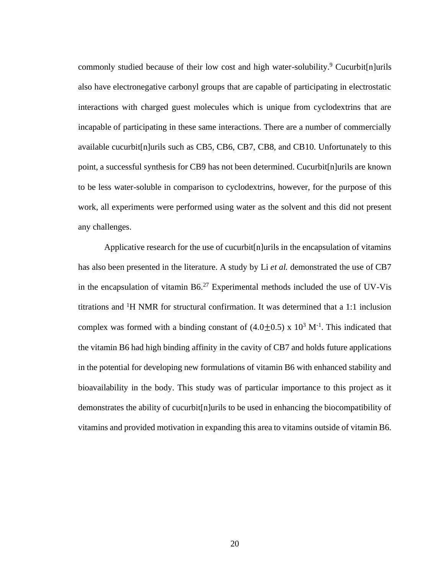commonly studied because of their low cost and high water-solubility.<sup>9</sup> Cucurbit[n]urils also have electronegative carbonyl groups that are capable of participating in electrostatic interactions with charged guest molecules which is unique from cyclodextrins that are incapable of participating in these same interactions. There are a number of commercially available cucurbit[n]urils such as CB5, CB6, CB7, CB8, and CB10. Unfortunately to this point, a successful synthesis for CB9 has not been determined. Cucurbit[n]urils are known to be less water-soluble in comparison to cyclodextrins, however, for the purpose of this work, all experiments were performed using water as the solvent and this did not present any challenges.

Applicative research for the use of cucurbit[n]urils in the encapsulation of vitamins has also been presented in the literature. A study by Li *et al.* demonstrated the use of CB7 in the encapsulation of vitamin  $B6<sup>27</sup>$  Experimental methods included the use of UV-Vis titrations and <sup>1</sup>H NMR for structural confirmation. It was determined that a 1:1 inclusion complex was formed with a binding constant of  $(4.0 \pm 0.5)$  x  $10^3$  M<sup>-1</sup>. This indicated that the vitamin B6 had high binding affinity in the cavity of CB7 and holds future applications in the potential for developing new formulations of vitamin B6 with enhanced stability and bioavailability in the body. This study was of particular importance to this project as it demonstrates the ability of cucurbit[n]urils to be used in enhancing the biocompatibility of vitamins and provided motivation in expanding this area to vitamins outside of vitamin B6.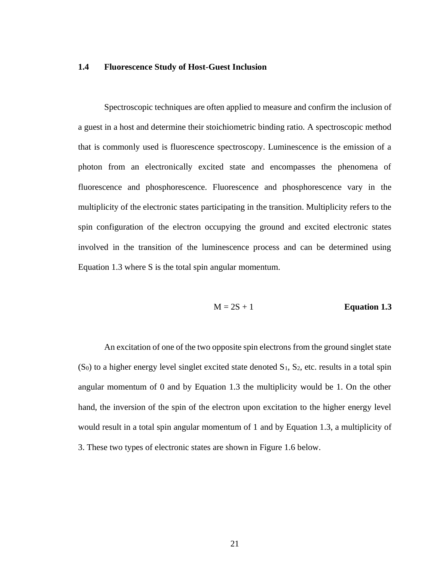#### **1.4 Fluorescence Study of Host-Guest Inclusion**

Spectroscopic techniques are often applied to measure and confirm the inclusion of a guest in a host and determine their stoichiometric binding ratio. A spectroscopic method that is commonly used is fluorescence spectroscopy. Luminescence is the emission of a photon from an electronically excited state and encompasses the phenomena of fluorescence and phosphorescence. Fluorescence and phosphorescence vary in the multiplicity of the electronic states participating in the transition. Multiplicity refers to the spin configuration of the electron occupying the ground and excited electronic states involved in the transition of the luminescence process and can be determined using Equation 1.3 where S is the total spin angular momentum.

$$
M = 2S + 1
$$
 **Equation 1.3**

An excitation of one of the two opposite spin electrons from the ground singlet state  $(S<sub>0</sub>)$  to a higher energy level singlet excited state denoted  $S<sub>1</sub>, S<sub>2</sub>$ , etc. results in a total spin angular momentum of 0 and by Equation 1.3 the multiplicity would be 1. On the other hand, the inversion of the spin of the electron upon excitation to the higher energy level would result in a total spin angular momentum of 1 and by Equation 1.3, a multiplicity of 3. These two types of electronic states are shown in Figure 1.6 below.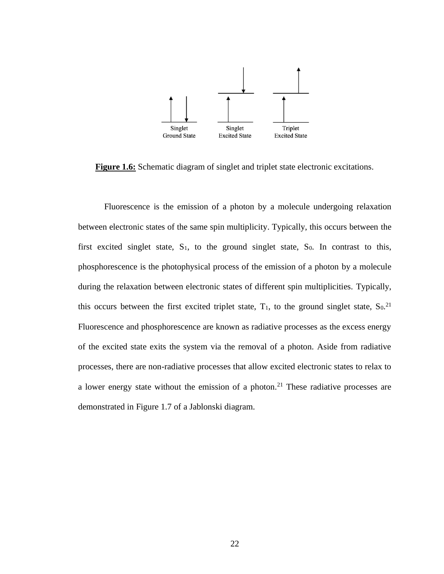

**Figure 1.6:** Schematic diagram of singlet and triplet state electronic excitations.

Fluorescence is the emission of a photon by a molecule undergoing relaxation between electronic states of the same spin multiplicity. Typically, this occurs between the first excited singlet state,  $S_1$ , to the ground singlet state,  $S_0$ . In contrast to this, phosphorescence is the photophysical process of the emission of a photon by a molecule during the relaxation between electronic states of different spin multiplicities. Typically, this occurs between the first excited triplet state,  $T_1$ , to the ground singlet state,  $S_0$ .<sup>21</sup> Fluorescence and phosphorescence are known as radiative processes as the excess energy of the excited state exits the system via the removal of a photon. Aside from radiative processes, there are non-radiative processes that allow excited electronic states to relax to a lower energy state without the emission of a photon.<sup>21</sup> These radiative processes are demonstrated in Figure 1.7 of a Jablonski diagram.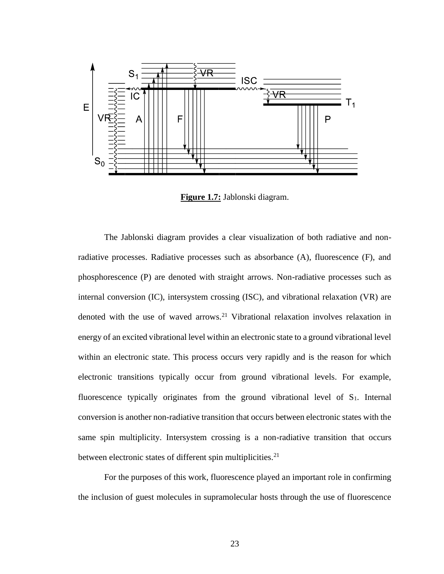

**Figure 1.7:** Jablonski diagram.

The Jablonski diagram provides a clear visualization of both radiative and nonradiative processes. Radiative processes such as absorbance (A), fluorescence (F), and phosphorescence (P) are denoted with straight arrows. Non-radiative processes such as internal conversion (IC), intersystem crossing (ISC), and vibrational relaxation (VR) are denoted with the use of waved arrows.<sup>21</sup> Vibrational relaxation involves relaxation in energy of an excited vibrational level within an electronic state to a ground vibrational level within an electronic state. This process occurs very rapidly and is the reason for which electronic transitions typically occur from ground vibrational levels. For example, fluorescence typically originates from the ground vibrational level of S<sub>1</sub>. Internal conversion is another non-radiative transition that occurs between electronic states with the same spin multiplicity. Intersystem crossing is a non-radiative transition that occurs between electronic states of different spin multiplicities.<sup>21</sup>

For the purposes of this work, fluorescence played an important role in confirming the inclusion of guest molecules in supramolecular hosts through the use of fluorescence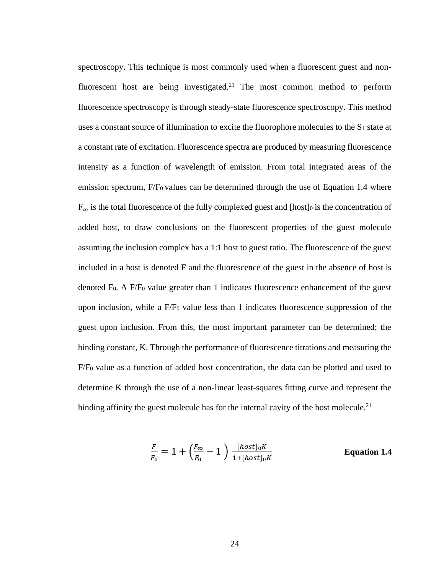spectroscopy. This technique is most commonly used when a fluorescent guest and nonfluorescent host are being investigated.<sup>21</sup> The most common method to perform fluorescence spectroscopy is through steady-state fluorescence spectroscopy. This method uses a constant source of illumination to excite the fluorophore molecules to the  $S_1$  state at a constant rate of excitation. Fluorescence spectra are produced by measuring fluorescence intensity as a function of wavelength of emission. From total integrated areas of the emission spectrum, F/F<sub>0</sub> values can be determined through the use of Equation 1.4 where  $F_{\infty}$  is the total fluorescence of the fully complexed guest and [host]<sup>0</sup> is the concentration of added host, to draw conclusions on the fluorescent properties of the guest molecule assuming the inclusion complex has a 1:1 host to guest ratio. The fluorescence of the guest included in a host is denoted F and the fluorescence of the guest in the absence of host is denoted  $F_0$ . A  $F/F_0$  value greater than 1 indicates fluorescence enhancement of the guest upon inclusion, while a  $F/F_0$  value less than 1 indicates fluorescence suppression of the guest upon inclusion. From this, the most important parameter can be determined; the binding constant, K. Through the performance of fluorescence titrations and measuring the F/F<sup>0</sup> value as a function of added host concentration, the data can be plotted and used to determine K through the use of a non-linear least-squares fitting curve and represent the binding affinity the guest molecule has for the internal cavity of the host molecule.<sup>21</sup>

$$
\frac{F}{F_0} = 1 + \left(\frac{F_{\infty}}{F_0} - 1\right) \frac{[host]_0 K}{1 + [host]_0 K}
$$
 Equation 1.4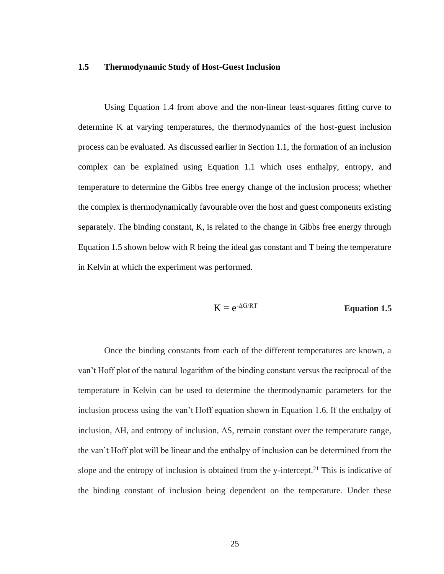## **1.5 Thermodynamic Study of Host-Guest Inclusion**

Using Equation 1.4 from above and the non-linear least-squares fitting curve to determine K at varying temperatures, the thermodynamics of the host-guest inclusion process can be evaluated. As discussed earlier in Section 1.1, the formation of an inclusion complex can be explained using Equation 1.1 which uses enthalpy, entropy, and temperature to determine the Gibbs free energy change of the inclusion process; whether the complex is thermodynamically favourable over the host and guest components existing separately. The binding constant, K, is related to the change in Gibbs free energy through Equation 1.5 shown below with R being the ideal gas constant and T being the temperature in Kelvin at which the experiment was performed.

$$
K = e^{-\Delta G/RT}
$$
 **Equation 1.5**

Once the binding constants from each of the different temperatures are known, a van't Hoff plot of the natural logarithm of the binding constant versus the reciprocal of the temperature in Kelvin can be used to determine the thermodynamic parameters for the inclusion process using the van't Hoff equation shown in Equation 1.6. If the enthalpy of inclusion,  $\Delta H$ , and entropy of inclusion,  $\Delta S$ , remain constant over the temperature range, the van't Hoff plot will be linear and the enthalpy of inclusion can be determined from the slope and the entropy of inclusion is obtained from the y-intercept.<sup>21</sup> This is indicative of the binding constant of inclusion being dependent on the temperature. Under these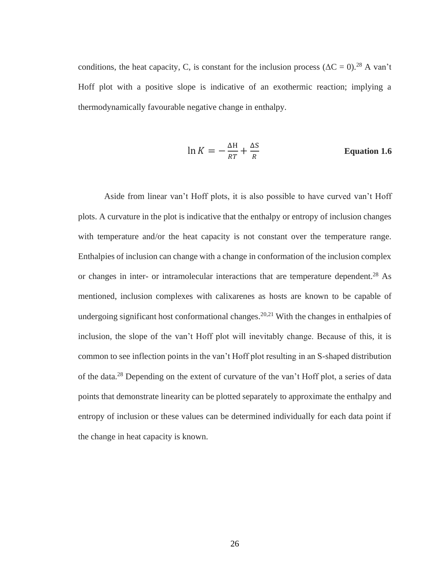conditions, the heat capacity, C, is constant for the inclusion process ( $\Delta C = 0$ ).<sup>28</sup> A van't Hoff plot with a positive slope is indicative of an exothermic reaction; implying a thermodynamically favourable negative change in enthalpy.

$$
\ln K = -\frac{\Delta H}{RT} + \frac{\Delta S}{R}
$$
 Equation 1.6

Aside from linear van't Hoff plots, it is also possible to have curved van't Hoff plots. A curvature in the plot is indicative that the enthalpy or entropy of inclusion changes with temperature and/or the heat capacity is not constant over the temperature range. Enthalpies of inclusion can change with a change in conformation of the inclusion complex or changes in inter- or intramolecular interactions that are temperature dependent.<sup>28</sup> As mentioned, inclusion complexes with calixarenes as hosts are known to be capable of undergoing significant host conformational changes.<sup>20,21</sup> With the changes in enthalpies of inclusion, the slope of the van't Hoff plot will inevitably change. Because of this, it is common to see inflection points in the van't Hoff plot resulting in an S-shaped distribution of the data.<sup>28</sup> Depending on the extent of curvature of the van't Hoff plot, a series of data points that demonstrate linearity can be plotted separately to approximate the enthalpy and entropy of inclusion or these values can be determined individually for each data point if the change in heat capacity is known.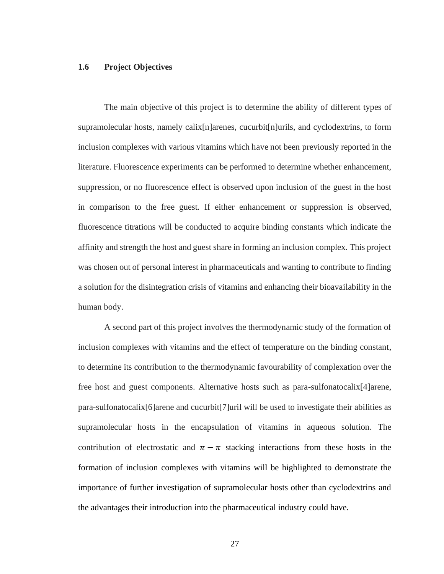## **1.6 Project Objectives**

The main objective of this project is to determine the ability of different types of supramolecular hosts, namely calix[n]arenes, cucurbit[n]urils, and cyclodextrins, to form inclusion complexes with various vitamins which have not been previously reported in the literature. Fluorescence experiments can be performed to determine whether enhancement, suppression, or no fluorescence effect is observed upon inclusion of the guest in the host in comparison to the free guest. If either enhancement or suppression is observed, fluorescence titrations will be conducted to acquire binding constants which indicate the affinity and strength the host and guest share in forming an inclusion complex. This project was chosen out of personal interest in pharmaceuticals and wanting to contribute to finding a solution for the disintegration crisis of vitamins and enhancing their bioavailability in the human body.

A second part of this project involves the thermodynamic study of the formation of inclusion complexes with vitamins and the effect of temperature on the binding constant, to determine its contribution to the thermodynamic favourability of complexation over the free host and guest components. Alternative hosts such as para-sulfonatocalix[4]arene, para-sulfonatocalix[6]arene and cucurbit[7]uril will be used to investigate their abilities as supramolecular hosts in the encapsulation of vitamins in aqueous solution. The contribution of electrostatic and  $\pi - \pi$  stacking interactions from these hosts in the formation of inclusion complexes with vitamins will be highlighted to demonstrate the importance of further investigation of supramolecular hosts other than cyclodextrins and the advantages their introduction into the pharmaceutical industry could have.

27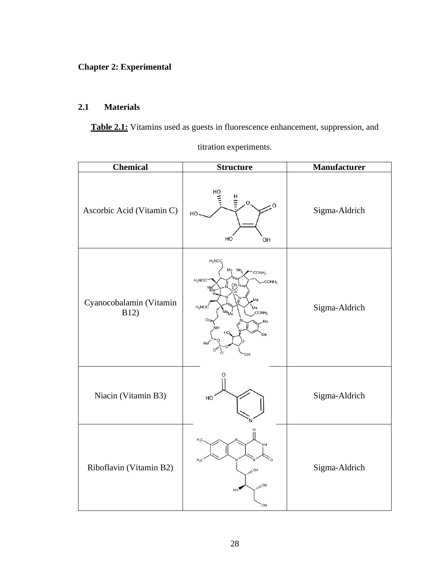# **Chapter 2: Experimental**

# **2.1 Materials**

**Table 2.1:** Vitamins used as guests in fluorescence enhancement, suppression, and

| Chemical                        | <b>Structure</b>                                                                                                                                                                                       | <b>Manufacturer</b> |
|---------------------------------|--------------------------------------------------------------------------------------------------------------------------------------------------------------------------------------------------------|---------------------|
| Ascorbic Acid (Vitamin C)       | 마.<br>비<br>트<br>O<br>۰0<br>HO<br>HO<br>ÒН                                                                                                                                                              | Sigma-Aldrich       |
| Cyanocobalamin (Vitamin<br>B12) | $H_2NOC$<br>Me Me<br>CONH <sub>2</sub><br>$H_2NOC$<br>CONH <sub>2</sub><br>CN<br>Me <sup>w</sup><br>Me'<br>H <sub>2</sub> NOC<br>Мe<br>$Me$ <sub>Me</sub><br>CONH <sub>2</sub><br>Me<br>ЛΑ<br>Me<br>ЭF | Sigma-Aldrich       |
| Niacin (Vitamin B3)             | O<br>HO                                                                                                                                                                                                | Sigma-Aldrich       |
| Riboflavin (Vitamin B2)         | $H_2C$<br>H <sub>2</sub><br>$HO_{\mathcal{U}_{\mathcal{U}}}$<br><b>HO<sub>/11</sub></b><br>HO<br>ОH                                                                                                    | Sigma-Aldrich       |

titration experiments.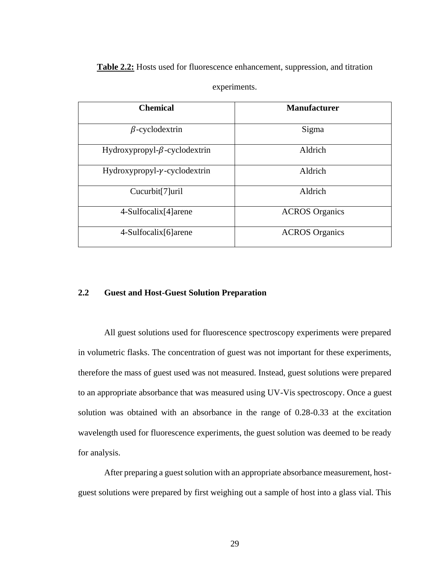**Table 2.2:** Hosts used for fluorescence enhancement, suppression, and titration

| <b>Chemical</b>                       | <b>Manufacturer</b>   |
|---------------------------------------|-----------------------|
| $\beta$ -cyclodextrin                 | Sigma                 |
| Hydroxypropyl- $\beta$ -cyclodextrin  | Aldrich               |
| Hydroxypropyl- $\gamma$ -cyclodextrin | Aldrich               |
| Cucurbit[7]uril                       | Aldrich               |
| 4-Sulfocalix[4] arene                 | <b>ACROS</b> Organics |
| 4-Sulfocalix[6]arene                  | <b>ACROS</b> Organics |

experiments.

# **2.2 Guest and Host-Guest Solution Preparation**

All guest solutions used for fluorescence spectroscopy experiments were prepared in volumetric flasks. The concentration of guest was not important for these experiments, therefore the mass of guest used was not measured. Instead, guest solutions were prepared to an appropriate absorbance that was measured using UV-Vis spectroscopy. Once a guest solution was obtained with an absorbance in the range of 0.28-0.33 at the excitation wavelength used for fluorescence experiments, the guest solution was deemed to be ready for analysis.

After preparing a guest solution with an appropriate absorbance measurement, hostguest solutions were prepared by first weighing out a sample of host into a glass vial. This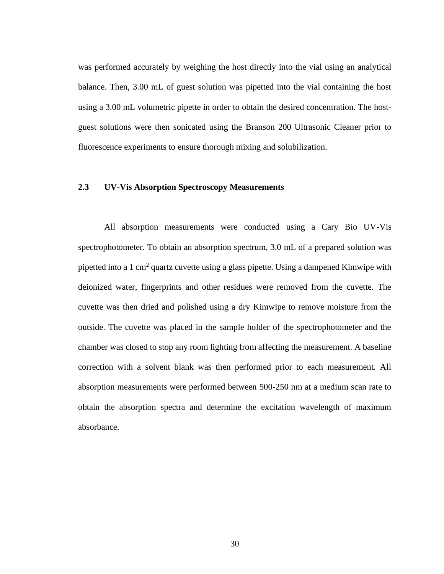was performed accurately by weighing the host directly into the vial using an analytical balance. Then, 3.00 mL of guest solution was pipetted into the vial containing the host using a 3.00 mL volumetric pipette in order to obtain the desired concentration. The hostguest solutions were then sonicated using the Branson 200 Ultrasonic Cleaner prior to fluorescence experiments to ensure thorough mixing and solubilization.

# **2.3 UV-Vis Absorption Spectroscopy Measurements**

All absorption measurements were conducted using a Cary Bio UV-Vis spectrophotometer. To obtain an absorption spectrum, 3.0 mL of a prepared solution was pipetted into a 1 cm<sup>2</sup> quartz cuvette using a glass pipette. Using a dampened Kimwipe with deionized water, fingerprints and other residues were removed from the cuvette. The cuvette was then dried and polished using a dry Kimwipe to remove moisture from the outside. The cuvette was placed in the sample holder of the spectrophotometer and the chamber was closed to stop any room lighting from affecting the measurement. A baseline correction with a solvent blank was then performed prior to each measurement. All absorption measurements were performed between 500-250 nm at a medium scan rate to obtain the absorption spectra and determine the excitation wavelength of maximum absorbance.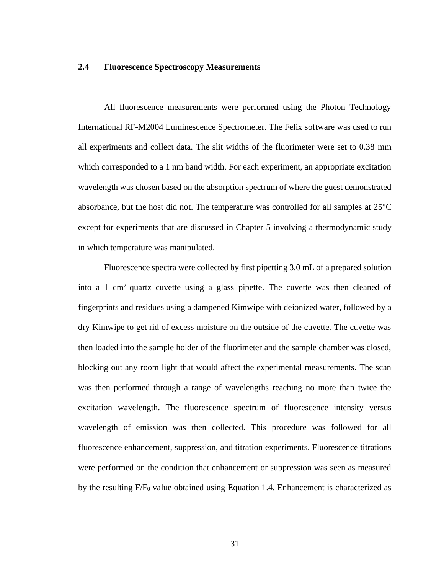## **2.4 Fluorescence Spectroscopy Measurements**

All fluorescence measurements were performed using the Photon Technology International RF-M2004 Luminescence Spectrometer. The Felix software was used to run all experiments and collect data. The slit widths of the fluorimeter were set to 0.38 mm which corresponded to a 1 nm band width. For each experiment, an appropriate excitation wavelength was chosen based on the absorption spectrum of where the guest demonstrated absorbance, but the host did not. The temperature was controlled for all samples at 25°C except for experiments that are discussed in Chapter 5 involving a thermodynamic study in which temperature was manipulated.

Fluorescence spectra were collected by first pipetting 3.0 mL of a prepared solution into a 1 cm<sup>2</sup> quartz cuvette using a glass pipette. The cuvette was then cleaned of fingerprints and residues using a dampened Kimwipe with deionized water, followed by a dry Kimwipe to get rid of excess moisture on the outside of the cuvette. The cuvette was then loaded into the sample holder of the fluorimeter and the sample chamber was closed, blocking out any room light that would affect the experimental measurements. The scan was then performed through a range of wavelengths reaching no more than twice the excitation wavelength. The fluorescence spectrum of fluorescence intensity versus wavelength of emission was then collected. This procedure was followed for all fluorescence enhancement, suppression, and titration experiments. Fluorescence titrations were performed on the condition that enhancement or suppression was seen as measured by the resulting F/F<sup>0</sup> value obtained using Equation 1.4. Enhancement is characterized as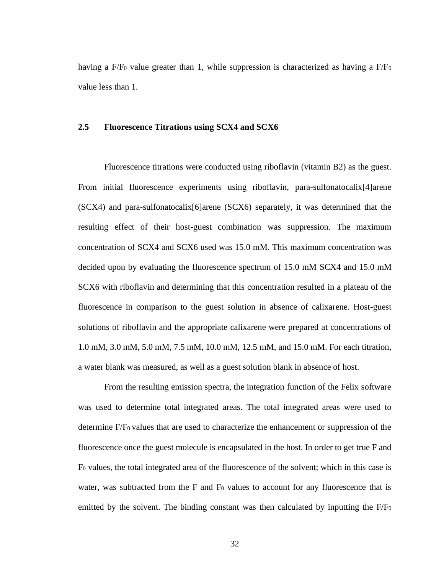having a  $F/F<sub>0</sub>$  value greater than 1, while suppression is characterized as having a  $F/F<sub>0</sub>$ value less than 1.

# **2.5 Fluorescence Titrations using SCX4 and SCX6**

Fluorescence titrations were conducted using riboflavin (vitamin B2) as the guest. From initial fluorescence experiments using riboflavin, para-sulfonatocalix[4]arene (SCX4) and para-sulfonatocalix[6]arene (SCX6) separately, it was determined that the resulting effect of their host-guest combination was suppression. The maximum concentration of SCX4 and SCX6 used was 15.0 mM. This maximum concentration was decided upon by evaluating the fluorescence spectrum of 15.0 mM SCX4 and 15.0 mM SCX6 with riboflavin and determining that this concentration resulted in a plateau of the fluorescence in comparison to the guest solution in absence of calixarene. Host-guest solutions of riboflavin and the appropriate calixarene were prepared at concentrations of 1.0 mM, 3.0 mM, 5.0 mM, 7.5 mM, 10.0 mM, 12.5 mM, and 15.0 mM. For each titration, a water blank was measured, as well as a guest solution blank in absence of host.

From the resulting emission spectra, the integration function of the Felix software was used to determine total integrated areas. The total integrated areas were used to determine F/F0 values that are used to characterize the enhancement or suppression of the fluorescence once the guest molecule is encapsulated in the host. In order to get true F and F<sup>0</sup> values, the total integrated area of the fluorescence of the solvent; which in this case is water, was subtracted from the  $F$  and  $F_0$  values to account for any fluorescence that is emitted by the solvent. The binding constant was then calculated by inputting the F/F<sub>0</sub>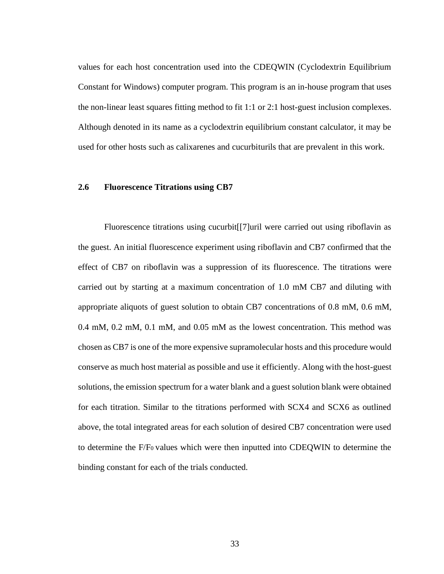values for each host concentration used into the CDEQWIN (Cyclodextrin Equilibrium Constant for Windows) computer program. This program is an in-house program that uses the non-linear least squares fitting method to fit 1:1 or 2:1 host-guest inclusion complexes. Although denoted in its name as a cyclodextrin equilibrium constant calculator, it may be used for other hosts such as calixarenes and cucurbiturils that are prevalent in this work.

## **2.6 Fluorescence Titrations using CB7**

Fluorescence titrations using cucurbit[[7]uril were carried out using riboflavin as the guest. An initial fluorescence experiment using riboflavin and CB7 confirmed that the effect of CB7 on riboflavin was a suppression of its fluorescence. The titrations were carried out by starting at a maximum concentration of 1.0 mM CB7 and diluting with appropriate aliquots of guest solution to obtain CB7 concentrations of 0.8 mM, 0.6 mM, 0.4 mM, 0.2 mM, 0.1 mM, and 0.05 mM as the lowest concentration. This method was chosen as CB7 is one of the more expensive supramolecular hosts and this procedure would conserve as much host material as possible and use it efficiently. Along with the host-guest solutions, the emission spectrum for a water blank and a guest solution blank were obtained for each titration. Similar to the titrations performed with SCX4 and SCX6 as outlined above, the total integrated areas for each solution of desired CB7 concentration were used to determine the F/F0 values which were then inputted into CDEQWIN to determine the binding constant for each of the trials conducted.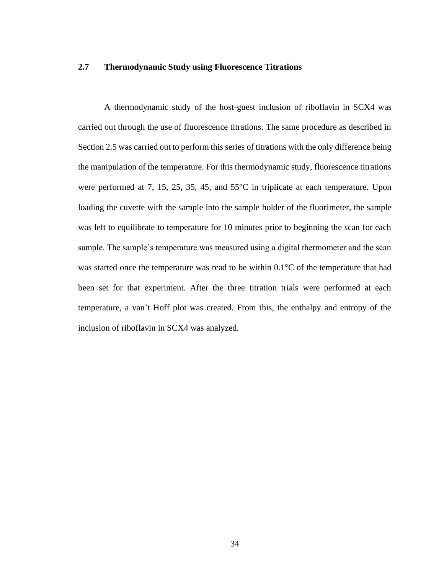## **2.7 Thermodynamic Study using Fluorescence Titrations**

A thermodynamic study of the host-guest inclusion of riboflavin in SCX4 was carried out through the use of fluorescence titrations. The same procedure as described in Section 2.5 was carried out to perform this series of titrations with the only difference being the manipulation of the temperature. For this thermodynamic study, fluorescence titrations were performed at 7, 15, 25, 35, 45, and 55°C in triplicate at each temperature. Upon loading the cuvette with the sample into the sample holder of the fluorimeter, the sample was left to equilibrate to temperature for 10 minutes prior to beginning the scan for each sample. The sample's temperature was measured using a digital thermometer and the scan was started once the temperature was read to be within  $0.1^{\circ}$ C of the temperature that had been set for that experiment. After the three titration trials were performed at each temperature, a van't Hoff plot was created. From this, the enthalpy and entropy of the inclusion of riboflavin in SCX4 was analyzed.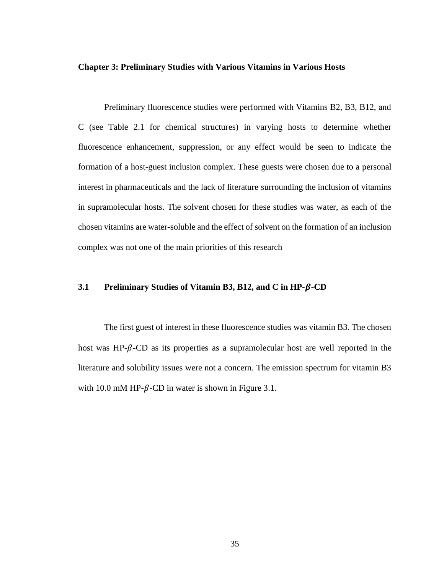#### **Chapter 3: Preliminary Studies with Various Vitamins in Various Hosts**

Preliminary fluorescence studies were performed with Vitamins B2, B3, B12, and C (see Table 2.1 for chemical structures) in varying hosts to determine whether fluorescence enhancement, suppression, or any effect would be seen to indicate the formation of a host-guest inclusion complex. These guests were chosen due to a personal interest in pharmaceuticals and the lack of literature surrounding the inclusion of vitamins in supramolecular hosts. The solvent chosen for these studies was water, as each of the chosen vitamins are water-soluble and the effect of solvent on the formation of an inclusion complex was not one of the main priorities of this research

# **3.1 Preliminary Studies of Vitamin B3, B12, and C in HP--CD**

The first guest of interest in these fluorescence studies was vitamin B3. The chosen host was HP- $\beta$ -CD as its properties as a supramolecular host are well reported in the literature and solubility issues were not a concern. The emission spectrum for vitamin B3 with 10.0 mM HP- $\beta$ -CD in water is shown in Figure 3.1.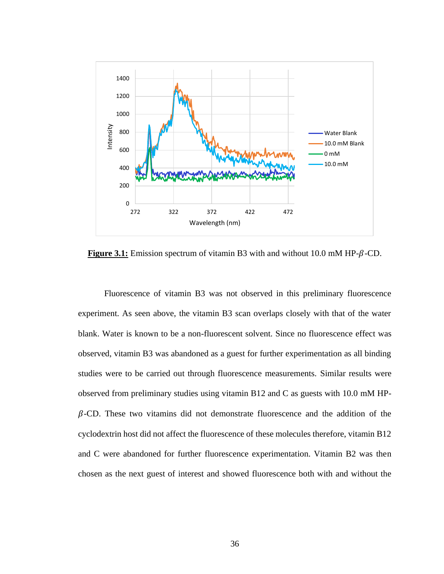

**Figure 3.1:** Emission spectrum of vitamin B3 with and without  $10.0$  mM HP- $\beta$ -CD.

Fluorescence of vitamin B3 was not observed in this preliminary fluorescence experiment. As seen above, the vitamin B3 scan overlaps closely with that of the water blank. Water is known to be a non-fluorescent solvent. Since no fluorescence effect was observed, vitamin B3 was abandoned as a guest for further experimentation as all binding studies were to be carried out through fluorescence measurements. Similar results were observed from preliminary studies using vitamin B12 and C as guests with 10.0 mM HP-  $\beta$ -CD. These two vitamins did not demonstrate fluorescence and the addition of the cyclodextrin host did not affect the fluorescence of these molecules therefore, vitamin B12 and C were abandoned for further fluorescence experimentation. Vitamin B2 was then chosen as the next guest of interest and showed fluorescence both with and without the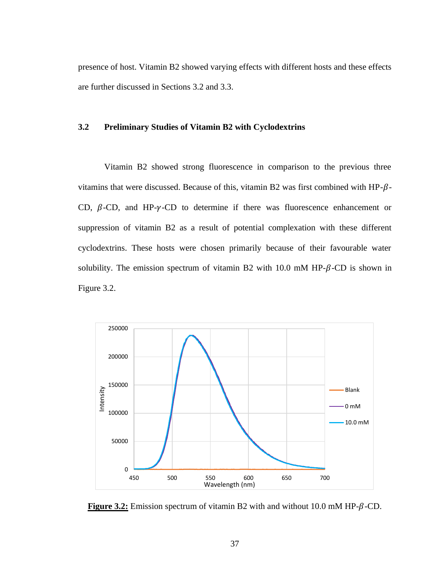presence of host. Vitamin B2 showed varying effects with different hosts and these effects are further discussed in Sections 3.2 and 3.3.

# **3.2 Preliminary Studies of Vitamin B2 with Cyclodextrins**

Vitamin B2 showed strong fluorescence in comparison to the previous three vitamins that were discussed. Because of this, vitamin B2 was first combined with HP- $\beta$ -CD,  $\beta$ -CD, and HP- $\gamma$ -CD to determine if there was fluorescence enhancement or suppression of vitamin B2 as a result of potential complexation with these different cyclodextrins. These hosts were chosen primarily because of their favourable water solubility. The emission spectrum of vitamin B2 with  $10.0$  mM HP- $\beta$ -CD is shown in Figure 3.2.



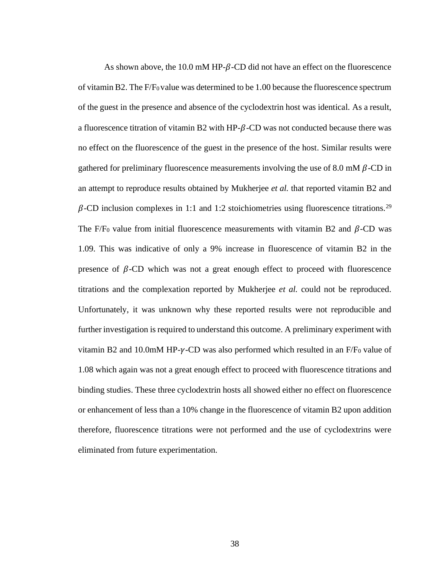As shown above, the 10.0 mM HP- $\beta$ -CD did not have an effect on the fluorescence of vitamin B2. The F/F0 value was determined to be 1.00 because the fluorescence spectrum of the guest in the presence and absence of the cyclodextrin host was identical. As a result, a fluorescence titration of vitamin B2 with HP- $\beta$ -CD was not conducted because there was no effect on the fluorescence of the guest in the presence of the host. Similar results were gathered for preliminary fluorescence measurements involving the use of 8.0 mM  $\beta$ -CD in an attempt to reproduce results obtained by Mukherjee *et al.* that reported vitamin B2 and  $\beta$ -CD inclusion complexes in 1:1 and 1:2 stoichiometries using fluorescence titrations.<sup>29</sup> The F/F<sub>0</sub> value from initial fluorescence measurements with vitamin B2 and  $\beta$ -CD was 1.09. This was indicative of only a 9% increase in fluorescence of vitamin B2 in the presence of  $\beta$ -CD which was not a great enough effect to proceed with fluorescence titrations and the complexation reported by Mukherjee *et al.* could not be reproduced. Unfortunately, it was unknown why these reported results were not reproducible and further investigation is required to understand this outcome. A preliminary experiment with vitamin B2 and 10.0mM HP- $\gamma$ -CD was also performed which resulted in an F/F<sub>0</sub> value of 1.08 which again was not a great enough effect to proceed with fluorescence titrations and binding studies. These three cyclodextrin hosts all showed either no effect on fluorescence or enhancement of less than a 10% change in the fluorescence of vitamin B2 upon addition therefore, fluorescence titrations were not performed and the use of cyclodextrins were eliminated from future experimentation.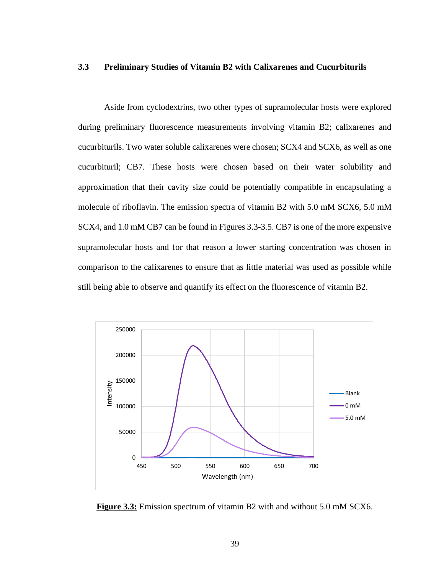## **3.3 Preliminary Studies of Vitamin B2 with Calixarenes and Cucurbiturils**

Aside from cyclodextrins, two other types of supramolecular hosts were explored during preliminary fluorescence measurements involving vitamin B2; calixarenes and cucurbiturils. Two water soluble calixarenes were chosen; SCX4 and SCX6, as well as one cucurbituril; CB7. These hosts were chosen based on their water solubility and approximation that their cavity size could be potentially compatible in encapsulating a molecule of riboflavin. The emission spectra of vitamin B2 with 5.0 mM SCX6, 5.0 mM SCX4, and 1.0 mM CB7 can be found in Figures 3.3-3.5. CB7 is one of the more expensive supramolecular hosts and for that reason a lower starting concentration was chosen in comparison to the calixarenes to ensure that as little material was used as possible while still being able to observe and quantify its effect on the fluorescence of vitamin B2.



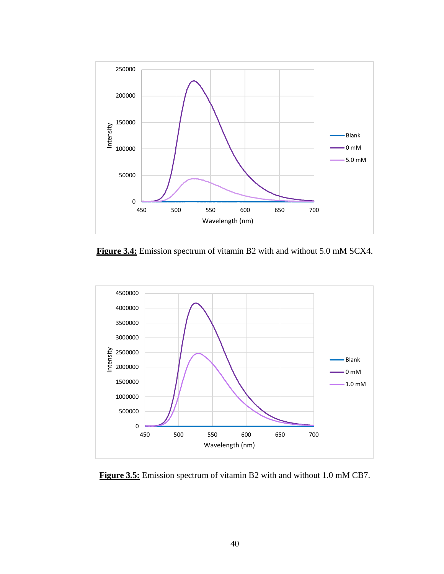

**Figure 3.4:** Emission spectrum of vitamin B2 with and without 5.0 mM SCX4.



**Figure 3.5:** Emission spectrum of vitamin B2 with and without 1.0 mM CB7.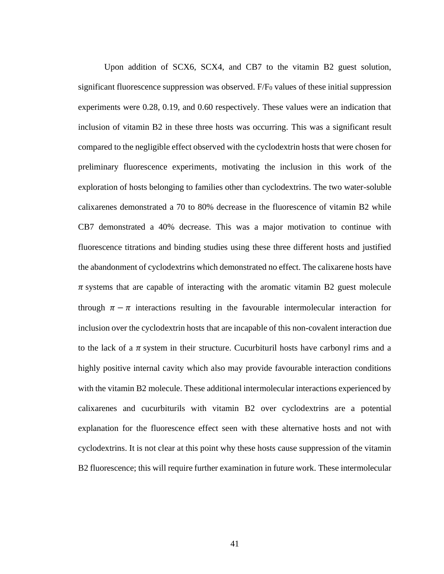Upon addition of SCX6, SCX4, and CB7 to the vitamin B2 guest solution, significant fluorescence suppression was observed. F/F<sup>0</sup> values of these initial suppression experiments were 0.28, 0.19, and 0.60 respectively. These values were an indication that inclusion of vitamin B2 in these three hosts was occurring. This was a significant result compared to the negligible effect observed with the cyclodextrin hosts that were chosen for preliminary fluorescence experiments, motivating the inclusion in this work of the exploration of hosts belonging to families other than cyclodextrins. The two water-soluble calixarenes demonstrated a 70 to 80% decrease in the fluorescence of vitamin B2 while CB7 demonstrated a 40% decrease. This was a major motivation to continue with fluorescence titrations and binding studies using these three different hosts and justified the abandonment of cyclodextrins which demonstrated no effect. The calixarene hosts have  $\pi$  systems that are capable of interacting with the aromatic vitamin B2 guest molecule through  $\pi - \pi$  interactions resulting in the favourable intermolecular interaction for inclusion over the cyclodextrin hosts that are incapable of this non-covalent interaction due to the lack of a  $\pi$  system in their structure. Cucurbituril hosts have carbonyl rims and a highly positive internal cavity which also may provide favourable interaction conditions with the vitamin B2 molecule. These additional intermolecular interactions experienced by calixarenes and cucurbiturils with vitamin B2 over cyclodextrins are a potential explanation for the fluorescence effect seen with these alternative hosts and not with cyclodextrins. It is not clear at this point why these hosts cause suppression of the vitamin B2 fluorescence; this will require further examination in future work. These intermolecular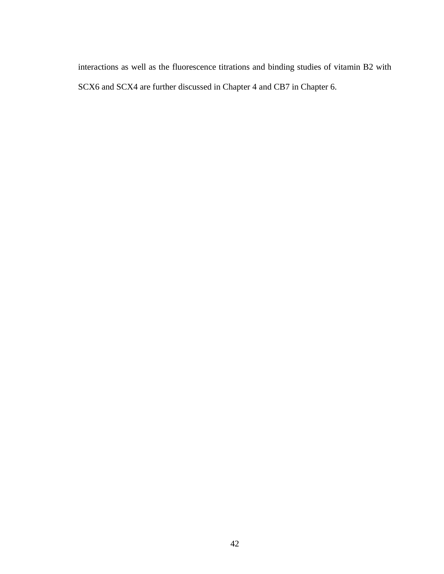interactions as well as the fluorescence titrations and binding studies of vitamin B2 with SCX6 and SCX4 are further discussed in Chapter 4 and CB7 in Chapter 6.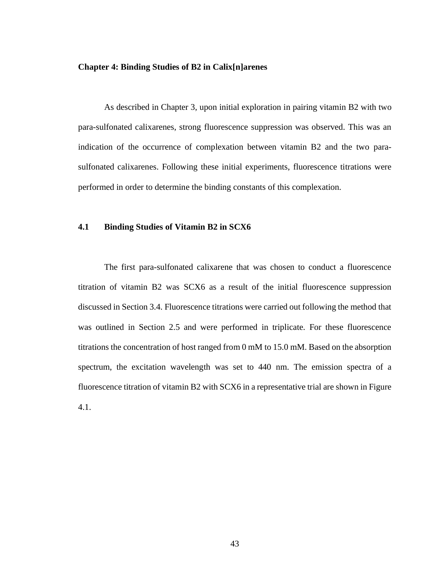#### **Chapter 4: Binding Studies of B2 in Calix[n]arenes**

As described in Chapter 3, upon initial exploration in pairing vitamin B2 with two para-sulfonated calixarenes, strong fluorescence suppression was observed. This was an indication of the occurrence of complexation between vitamin B2 and the two parasulfonated calixarenes. Following these initial experiments, fluorescence titrations were performed in order to determine the binding constants of this complexation.

# **4.1 Binding Studies of Vitamin B2 in SCX6**

The first para-sulfonated calixarene that was chosen to conduct a fluorescence titration of vitamin B2 was SCX6 as a result of the initial fluorescence suppression discussed in Section 3.4. Fluorescence titrations were carried out following the method that was outlined in Section 2.5 and were performed in triplicate. For these fluorescence titrations the concentration of host ranged from 0 mM to 15.0 mM. Based on the absorption spectrum, the excitation wavelength was set to 440 nm. The emission spectra of a fluorescence titration of vitamin B2 with SCX6 in a representative trial are shown in Figure 4.1.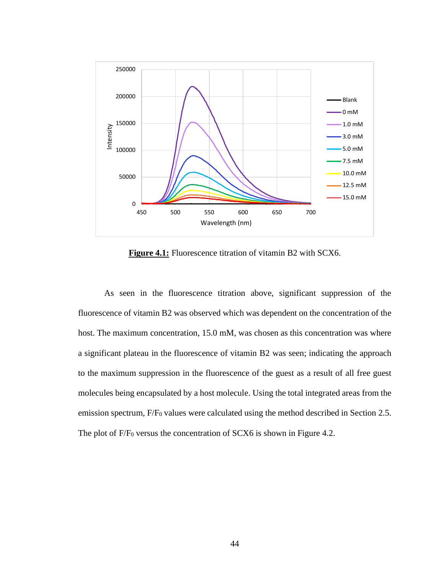

**Figure 4.1:** Fluorescence titration of vitamin B2 with SCX6.

As seen in the fluorescence titration above, significant suppression of the fluorescence of vitamin B2 was observed which was dependent on the concentration of the host. The maximum concentration, 15.0 mM, was chosen as this concentration was where a significant plateau in the fluorescence of vitamin B2 was seen; indicating the approach to the maximum suppression in the fluorescence of the guest as a result of all free guest molecules being encapsulated by a host molecule. Using the total integrated areas from the emission spectrum, F/F<sub>0</sub> values were calculated using the method described in Section 2.5. The plot of F/F<sub>0</sub> versus the concentration of SCX6 is shown in Figure 4.2.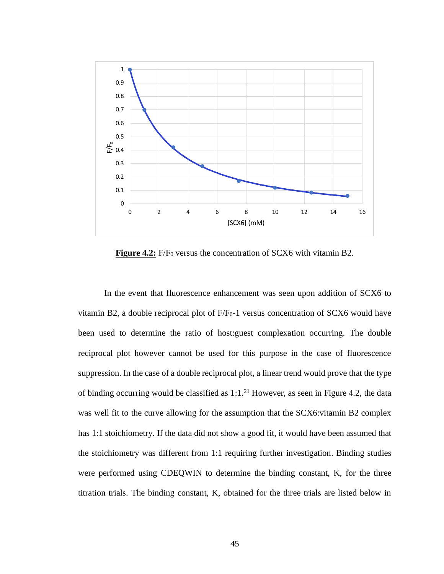

**Figure 4.2:** F/F<sub>0</sub> versus the concentration of SCX6 with vitamin B2.

In the event that fluorescence enhancement was seen upon addition of SCX6 to vitamin B2, a double reciprocal plot of  $F/F<sub>0</sub>$ -1 versus concentration of SCX6 would have been used to determine the ratio of host:guest complexation occurring. The double reciprocal plot however cannot be used for this purpose in the case of fluorescence suppression. In the case of a double reciprocal plot, a linear trend would prove that the type of binding occurring would be classified as  $1:1.^{21}$  However, as seen in Figure 4.2, the data was well fit to the curve allowing for the assumption that the SCX6: vitamin B2 complex has 1:1 stoichiometry. If the data did not show a good fit, it would have been assumed that the stoichiometry was different from 1:1 requiring further investigation. Binding studies were performed using CDEQWIN to determine the binding constant, K, for the three titration trials. The binding constant, K, obtained for the three trials are listed below in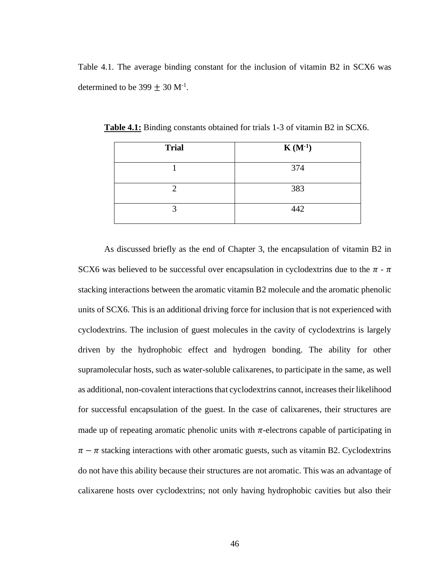Table 4.1. The average binding constant for the inclusion of vitamin B2 in SCX6 was determined to be  $399 \pm 30$  M<sup>-1</sup>.

| <b>Trial</b> | $K(M^{-1})$ |
|--------------|-------------|
|              | 374         |
|              | 383         |
|              | 442         |

**Table 4.1:** Binding constants obtained for trials 1-3 of vitamin B2 in SCX6.

As discussed briefly as the end of Chapter 3, the encapsulation of vitamin B2 in SCX6 was believed to be successful over encapsulation in cyclodextrins due to the  $\pi$  -  $\pi$ stacking interactions between the aromatic vitamin B2 molecule and the aromatic phenolic units of SCX6. This is an additional driving force for inclusion that is not experienced with cyclodextrins. The inclusion of guest molecules in the cavity of cyclodextrins is largely driven by the hydrophobic effect and hydrogen bonding. The ability for other supramolecular hosts, such as water-soluble calixarenes, to participate in the same, as well as additional, non-covalent interactions that cyclodextrins cannot, increases their likelihood for successful encapsulation of the guest. In the case of calixarenes, their structures are made up of repeating aromatic phenolic units with  $\pi$ -electrons capable of participating in  $\pi - \pi$  stacking interactions with other aromatic guests, such as vitamin B2. Cyclodextrins do not have this ability because their structures are not aromatic. This was an advantage of calixarene hosts over cyclodextrins; not only having hydrophobic cavities but also their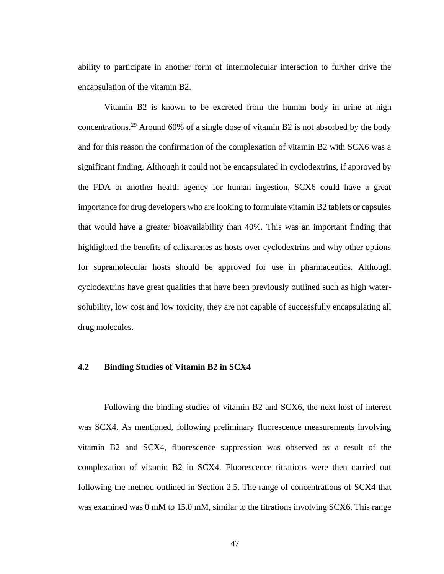ability to participate in another form of intermolecular interaction to further drive the encapsulation of the vitamin B2.

Vitamin B2 is known to be excreted from the human body in urine at high concentrations.<sup>29</sup> Around 60% of a single dose of vitamin B2 is not absorbed by the body and for this reason the confirmation of the complexation of vitamin B2 with SCX6 was a significant finding. Although it could not be encapsulated in cyclodextrins, if approved by the FDA or another health agency for human ingestion, SCX6 could have a great importance for drug developers who are looking to formulate vitamin B2 tablets or capsules that would have a greater bioavailability than 40%. This was an important finding that highlighted the benefits of calixarenes as hosts over cyclodextrins and why other options for supramolecular hosts should be approved for use in pharmaceutics. Although cyclodextrins have great qualities that have been previously outlined such as high watersolubility, low cost and low toxicity, they are not capable of successfully encapsulating all drug molecules.

# **4.2 Binding Studies of Vitamin B2 in SCX4**

Following the binding studies of vitamin B2 and SCX6, the next host of interest was SCX4. As mentioned, following preliminary fluorescence measurements involving vitamin B2 and SCX4, fluorescence suppression was observed as a result of the complexation of vitamin B2 in SCX4. Fluorescence titrations were then carried out following the method outlined in Section 2.5. The range of concentrations of SCX4 that was examined was 0 mM to 15.0 mM, similar to the titrations involving SCX6. This range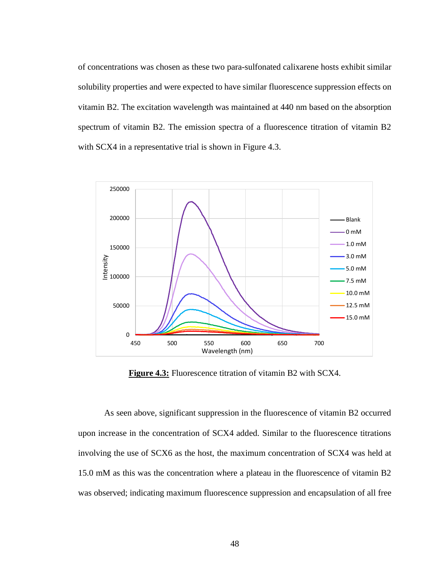of concentrations was chosen as these two para-sulfonated calixarene hosts exhibit similar solubility properties and were expected to have similar fluorescence suppression effects on vitamin B2. The excitation wavelength was maintained at 440 nm based on the absorption spectrum of vitamin B2. The emission spectra of a fluorescence titration of vitamin B2 with SCX4 in a representative trial is shown in Figure 4.3.



**Figure 4.3:** Fluorescence titration of vitamin B2 with SCX4.

As seen above, significant suppression in the fluorescence of vitamin B2 occurred upon increase in the concentration of SCX4 added. Similar to the fluorescence titrations involving the use of SCX6 as the host, the maximum concentration of SCX4 was held at 15.0 mM as this was the concentration where a plateau in the fluorescence of vitamin B2 was observed; indicating maximum fluorescence suppression and encapsulation of all free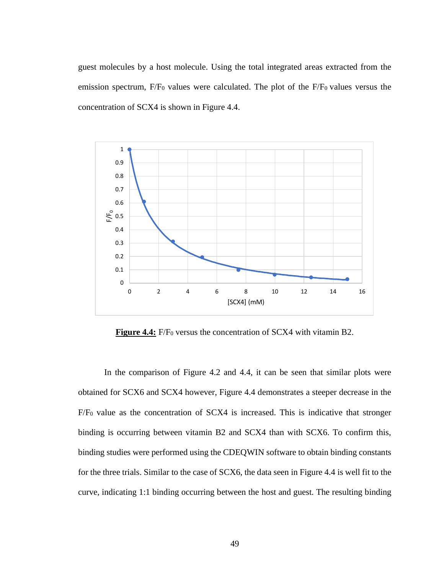guest molecules by a host molecule. Using the total integrated areas extracted from the emission spectrum, F/F<sub>0</sub> values were calculated. The plot of the F/F<sub>0</sub> values versus the concentration of SCX4 is shown in Figure 4.4.



**Figure 4.4:** F/F<sub>0</sub> versus the concentration of SCX4 with vitamin B2.

In the comparison of Figure 4.2 and 4.4, it can be seen that similar plots were obtained for SCX6 and SCX4 however, Figure 4.4 demonstrates a steeper decrease in the F/F<sup>0</sup> value as the concentration of SCX4 is increased. This is indicative that stronger binding is occurring between vitamin B2 and SCX4 than with SCX6. To confirm this, binding studies were performed using the CDEQWIN software to obtain binding constants for the three trials. Similar to the case of SCX6, the data seen in Figure 4.4 is well fit to the curve, indicating 1:1 binding occurring between the host and guest. The resulting binding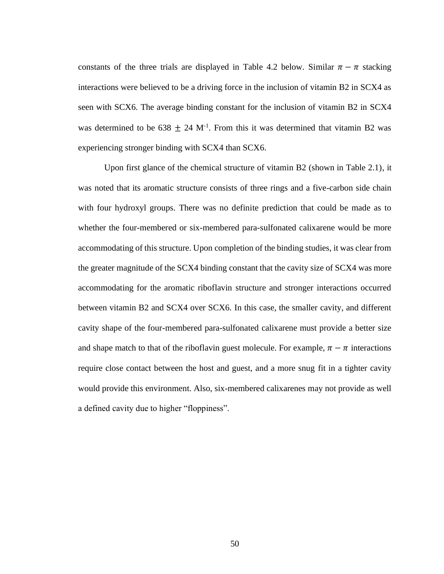constants of the three trials are displayed in Table 4.2 below. Similar  $\pi - \pi$  stacking interactions were believed to be a driving force in the inclusion of vitamin B2 in SCX4 as seen with SCX6. The average binding constant for the inclusion of vitamin B2 in SCX4 was determined to be  $638 \pm 24$  M<sup>-1</sup>. From this it was determined that vitamin B2 was experiencing stronger binding with SCX4 than SCX6.

Upon first glance of the chemical structure of vitamin B2 (shown in Table 2.1), it was noted that its aromatic structure consists of three rings and a five-carbon side chain with four hydroxyl groups. There was no definite prediction that could be made as to whether the four-membered or six-membered para-sulfonated calixarene would be more accommodating of this structure. Upon completion of the binding studies, it was clear from the greater magnitude of the SCX4 binding constant that the cavity size of SCX4 was more accommodating for the aromatic riboflavin structure and stronger interactions occurred between vitamin B2 and SCX4 over SCX6. In this case, the smaller cavity, and different cavity shape of the four-membered para-sulfonated calixarene must provide a better size and shape match to that of the riboflavin guest molecule. For example,  $\pi - \pi$  interactions require close contact between the host and guest, and a more snug fit in a tighter cavity would provide this environment. Also, six-membered calixarenes may not provide as well a defined cavity due to higher "floppiness".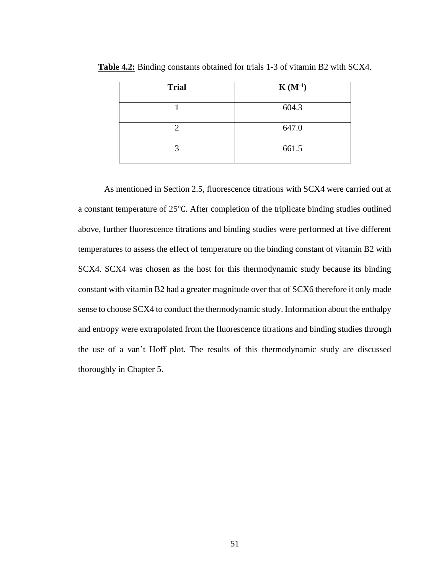| <b>Trial</b> | $K(M^{-1})$ |
|--------------|-------------|
|              | 604.3       |
|              | 647.0       |
|              | 661.5       |

**Table 4.2:** Binding constants obtained for trials 1-3 of vitamin B2 with SCX4.

As mentioned in Section 2.5, fluorescence titrations with SCX4 were carried out at a constant temperature of 25℃. After completion of the triplicate binding studies outlined above, further fluorescence titrations and binding studies were performed at five different temperatures to assess the effect of temperature on the binding constant of vitamin B2 with SCX4. SCX4 was chosen as the host for this thermodynamic study because its binding constant with vitamin B2 had a greater magnitude over that of SCX6 therefore it only made sense to choose SCX4 to conduct the thermodynamic study. Information about the enthalpy and entropy were extrapolated from the fluorescence titrations and binding studies through the use of a van't Hoff plot. The results of this thermodynamic study are discussed thoroughly in Chapter 5.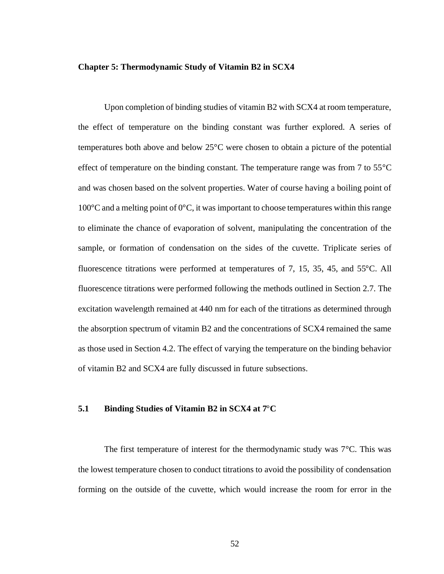#### **Chapter 5: Thermodynamic Study of Vitamin B2 in SCX4**

Upon completion of binding studies of vitamin B2 with SCX4 at room temperature, the effect of temperature on the binding constant was further explored. A series of temperatures both above and below 25°C were chosen to obtain a picture of the potential effect of temperature on the binding constant. The temperature range was from 7 to 55<sup>o</sup>C and was chosen based on the solvent properties. Water of course having a boiling point of 100°C and a melting point of 0°C, it was important to choose temperatures within this range to eliminate the chance of evaporation of solvent, manipulating the concentration of the sample, or formation of condensation on the sides of the cuvette. Triplicate series of fluorescence titrations were performed at temperatures of 7, 15, 35, 45, and 55°C. All fluorescence titrations were performed following the methods outlined in Section 2.7. The excitation wavelength remained at 440 nm for each of the titrations as determined through the absorption spectrum of vitamin B2 and the concentrations of SCX4 remained the same as those used in Section 4.2. The effect of varying the temperature on the binding behavior of vitamin B2 and SCX4 are fully discussed in future subsections.

# **5.1 Binding Studies of Vitamin B2 in SCX4 at 7**°**C**

The first temperature of interest for the thermodynamic study was 7°C. This was the lowest temperature chosen to conduct titrations to avoid the possibility of condensation forming on the outside of the cuvette, which would increase the room for error in the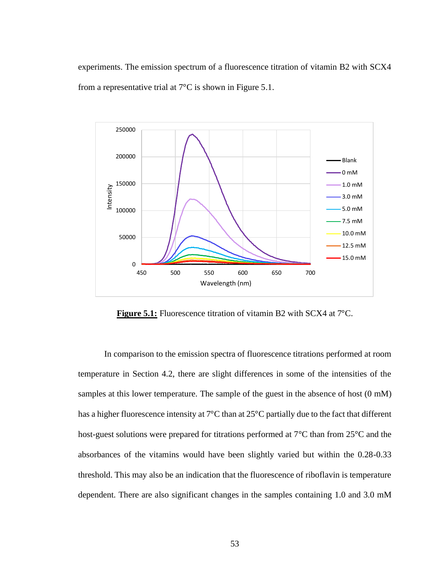experiments. The emission spectrum of a fluorescence titration of vitamin B2 with SCX4 from a representative trial at 7°C is shown in Figure 5.1.



**Figure 5.1:** Fluorescence titration of vitamin B2 with SCX4 at 7<sup>o</sup>C.

In comparison to the emission spectra of fluorescence titrations performed at room temperature in Section 4.2, there are slight differences in some of the intensities of the samples at this lower temperature. The sample of the guest in the absence of host  $(0 \text{ mM})$ has a higher fluorescence intensity at 7°C than at 25°C partially due to the fact that different host-guest solutions were prepared for titrations performed at 7°C than from 25°C and the absorbances of the vitamins would have been slightly varied but within the 0.28-0.33 threshold. This may also be an indication that the fluorescence of riboflavin is temperature dependent. There are also significant changes in the samples containing 1.0 and 3.0 mM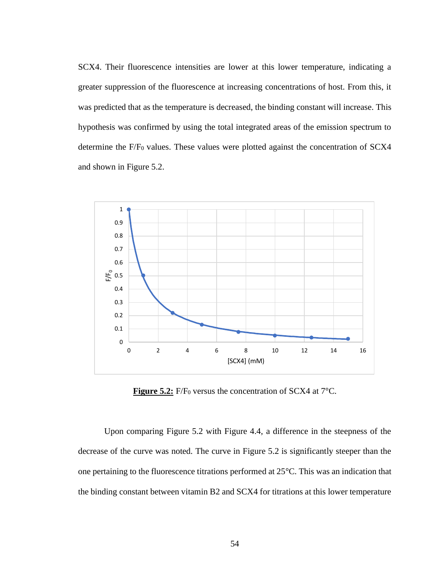SCX4. Their fluorescence intensities are lower at this lower temperature, indicating a greater suppression of the fluorescence at increasing concentrations of host. From this, it was predicted that as the temperature is decreased, the binding constant will increase. This hypothesis was confirmed by using the total integrated areas of the emission spectrum to determine the F/F<sub>0</sub> values. These values were plotted against the concentration of SCX4 and shown in Figure 5.2.



**Figure 5.2:** F/F<sub>0</sub> versus the concentration of SCX4 at 7<sup>o</sup>C.

Upon comparing Figure 5.2 with Figure 4.4, a difference in the steepness of the decrease of the curve was noted. The curve in Figure 5.2 is significantly steeper than the one pertaining to the fluorescence titrations performed at 25°C. This was an indication that the binding constant between vitamin B2 and SCX4 for titrations at this lower temperature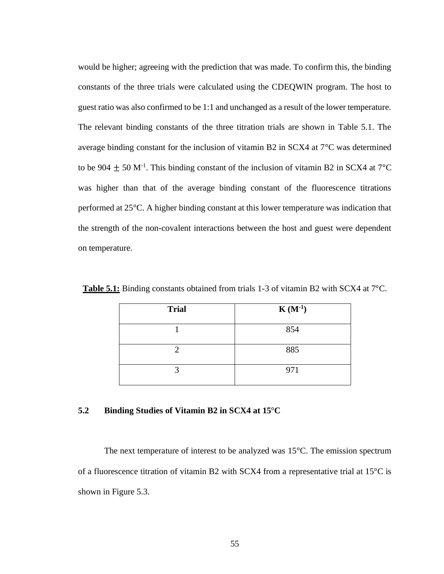would be higher; agreeing with the prediction that was made. To confirm this, the binding constants of the three trials were calculated using the CDEQWIN program. The host to guest ratio was also confirmed to be 1:1 and unchanged as a result of the lower temperature. The relevant binding constants of the three titration trials are shown in Table 5.1. The average binding constant for the inclusion of vitamin B2 in SCX4 at 7°C was determined to be 904  $\pm$  50 M<sup>-1</sup>. This binding constant of the inclusion of vitamin B2 in SCX4 at 7<sup>o</sup>C was higher than that of the average binding constant of the fluorescence titrations performed at 25°C. A higher binding constant at this lower temperature was indication that the strength of the non-covalent interactions between the host and guest were dependent on temperature.

| <b>Trial</b> | $K(M^{-1})$ |
|--------------|-------------|
|              | 854         |
|              | 885         |
|              | 971         |

**Table 5.1:** Binding constants obtained from trials 1-3 of vitamin B2 with SCX4 at 7°C.

# **5.2 Binding Studies of Vitamin B2 in SCX4 at 15**°**C**

The next temperature of interest to be analyzed was 15°C. The emission spectrum of a fluorescence titration of vitamin B2 with SCX4 from a representative trial at 15°C is shown in Figure 5.3.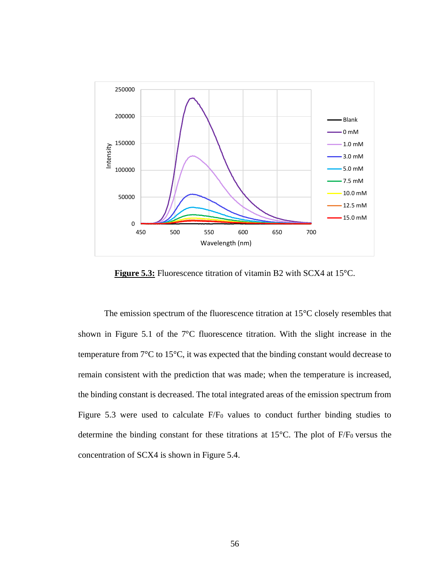

Figure 5.3: Fluorescence titration of vitamin B2 with SCX4 at 15<sup>o</sup>C.

The emission spectrum of the fluorescence titration at 15°C closely resembles that shown in Figure 5.1 of the 7°C fluorescence titration. With the slight increase in the temperature from 7°C to 15°C, it was expected that the binding constant would decrease to remain consistent with the prediction that was made; when the temperature is increased, the binding constant is decreased. The total integrated areas of the emission spectrum from Figure 5.3 were used to calculate  $F/F<sub>0</sub>$  values to conduct further binding studies to determine the binding constant for these titrations at  $15^{\circ}$ C. The plot of F/F<sub>0</sub> versus the concentration of SCX4 is shown in Figure 5.4.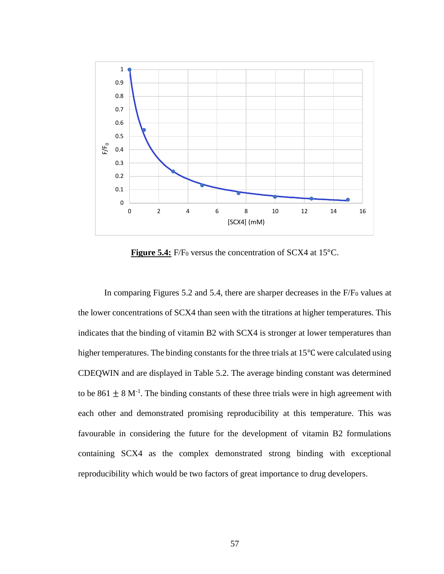

**Figure 5.4:** F/F<sub>0</sub> versus the concentration of SCX4 at 15<sup>o</sup>C.

In comparing Figures 5.2 and 5.4, there are sharper decreases in the F/F<sub>0</sub> values at the lower concentrations of SCX4 than seen with the titrations at higher temperatures. This indicates that the binding of vitamin B2 with SCX4 is stronger at lower temperatures than higher temperatures. The binding constants for the three trials at 15℃ were calculated using CDEQWIN and are displayed in Table 5.2. The average binding constant was determined to be 861  $\pm$  8 M<sup>-1</sup>. The binding constants of these three trials were in high agreement with each other and demonstrated promising reproducibility at this temperature. This was favourable in considering the future for the development of vitamin B2 formulations containing SCX4 as the complex demonstrated strong binding with exceptional reproducibility which would be two factors of great importance to drug developers.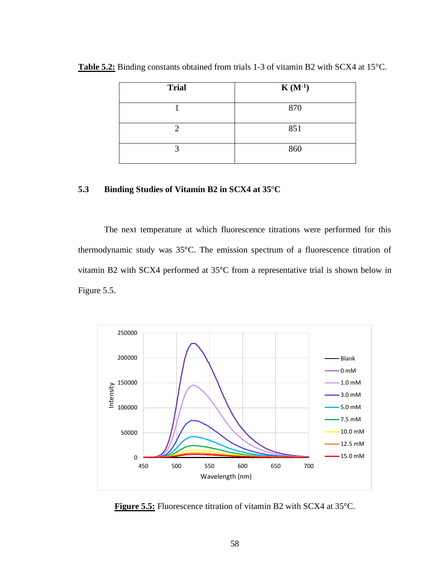| <b>Trial</b> | $K(M^{-1})$ |
|--------------|-------------|
|              | 870         |
| റ            | 851         |
| 2            | 860         |

**Table 5.2:** Binding constants obtained from trials 1-3 of vitamin B2 with SCX4 at 15°C.

# **5.3 Binding Studies of Vitamin B2 in SCX4 at 35**°**C**

The next temperature at which fluorescence titrations were performed for this thermodynamic study was 35°C. The emission spectrum of a fluorescence titration of vitamin B2 with SCX4 performed at 35°C from a representative trial is shown below in Figure 5.5.



**Figure 5.5:** Fluorescence titration of vitamin B2 with SCX4 at 35°C.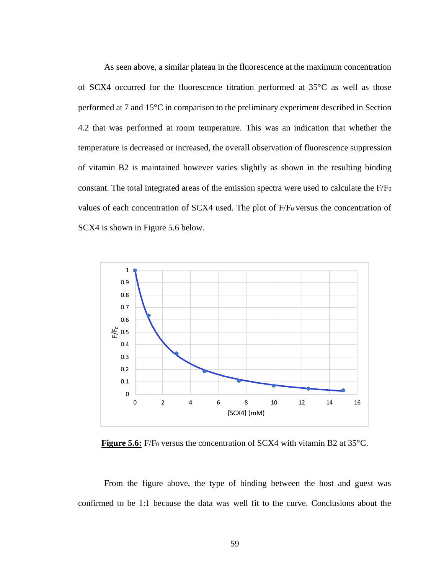As seen above, a similar plateau in the fluorescence at the maximum concentration of SCX4 occurred for the fluorescence titration performed at 35°C as well as those performed at 7 and 15°C in comparison to the preliminary experiment described in Section 4.2 that was performed at room temperature. This was an indication that whether the temperature is decreased or increased, the overall observation of fluorescence suppression of vitamin B2 is maintained however varies slightly as shown in the resulting binding constant. The total integrated areas of the emission spectra were used to calculate the F/F<sup>0</sup> values of each concentration of SCX4 used. The plot of F/F<sub>0</sub> versus the concentration of SCX4 is shown in Figure 5.6 below.



**Figure 5.6:** F/F<sub>0</sub> versus the concentration of SCX4 with vitamin B2 at 35<sup>o</sup>C.

From the figure above, the type of binding between the host and guest was confirmed to be 1:1 because the data was well fit to the curve. Conclusions about the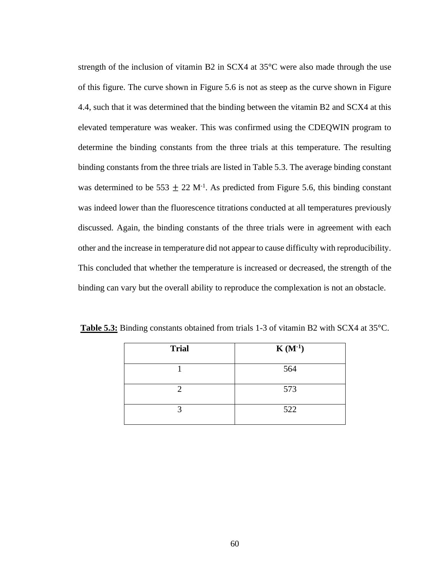strength of the inclusion of vitamin B2 in SCX4 at 35°C were also made through the use of this figure. The curve shown in Figure 5.6 is not as steep as the curve shown in Figure 4.4, such that it was determined that the binding between the vitamin B2 and SCX4 at this elevated temperature was weaker. This was confirmed using the CDEQWIN program to determine the binding constants from the three trials at this temperature. The resulting binding constants from the three trials are listed in Table 5.3. The average binding constant was determined to be 553  $\pm$  22 M<sup>-1</sup>. As predicted from Figure 5.6, this binding constant was indeed lower than the fluorescence titrations conducted at all temperatures previously discussed. Again, the binding constants of the three trials were in agreement with each other and the increase in temperature did not appear to cause difficulty with reproducibility. This concluded that whether the temperature is increased or decreased, the strength of the binding can vary but the overall ability to reproduce the complexation is not an obstacle.

| <b>Trial</b> | $K(M^{-1})$ |
|--------------|-------------|
|              | 564         |
|              | 573         |
|              | 522         |

**Table 5.3:** Binding constants obtained from trials 1-3 of vitamin B2 with SCX4 at 35°C.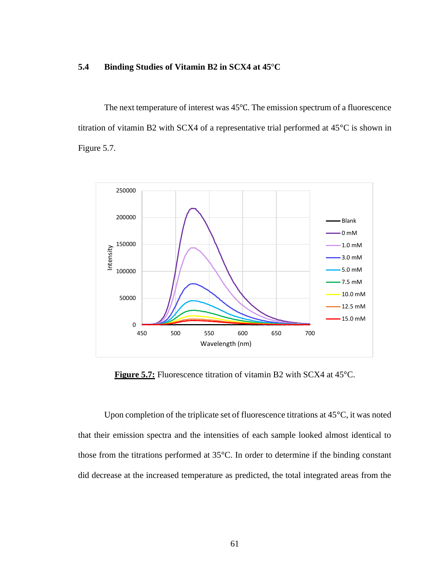# **5.4 Binding Studies of Vitamin B2 in SCX4 at 45**°**C**

The next temperature of interest was 45℃. The emission spectrum of a fluorescence titration of vitamin B2 with SCX4 of a representative trial performed at 45°C is shown in Figure 5.7.



**Figure 5.7:** Fluorescence titration of vitamin B2 with SCX4 at 45<sup>o</sup>C.

Upon completion of the triplicate set of fluorescence titrations at 45°C, it was noted that their emission spectra and the intensities of each sample looked almost identical to those from the titrations performed at 35°C. In order to determine if the binding constant did decrease at the increased temperature as predicted, the total integrated areas from the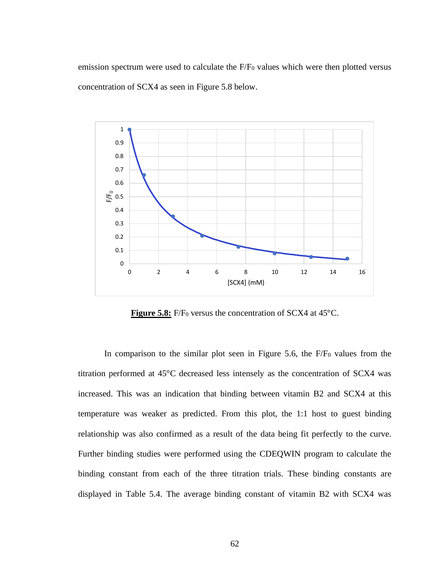emission spectrum were used to calculate the F/F<sub>0</sub> values which were then plotted versus concentration of SCX4 as seen in Figure 5.8 below.



**Figure 5.8:** F/F<sub>0</sub> versus the concentration of SCX4 at 45<sup>o</sup>C.

In comparison to the similar plot seen in Figure 5.6, the F/F<sub>0</sub> values from the titration performed at 45°C decreased less intensely as the concentration of SCX4 was increased. This was an indication that binding between vitamin B2 and SCX4 at this temperature was weaker as predicted. From this plot, the 1:1 host to guest binding relationship was also confirmed as a result of the data being fit perfectly to the curve. Further binding studies were performed using the CDEQWIN program to calculate the binding constant from each of the three titration trials. These binding constants are displayed in Table 5.4. The average binding constant of vitamin B2 with SCX4 was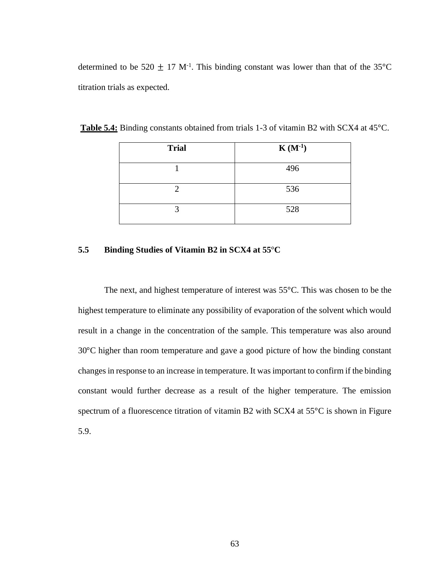determined to be 520  $\pm$  17 M<sup>-1</sup>. This binding constant was lower than that of the 35°C titration trials as expected.

| <b>Trial</b> | $K(M^{-1})$ |
|--------------|-------------|
|              | 496         |
|              | 536         |
|              | 528         |

**Table 5.4:** Binding constants obtained from trials 1-3 of vitamin B2 with SCX4 at 45°C.

## **5.5 Binding Studies of Vitamin B2 in SCX4 at 55**°**C**

The next, and highest temperature of interest was 55°C. This was chosen to be the highest temperature to eliminate any possibility of evaporation of the solvent which would result in a change in the concentration of the sample. This temperature was also around 30°C higher than room temperature and gave a good picture of how the binding constant changes in response to an increase in temperature. It was important to confirm if the binding constant would further decrease as a result of the higher temperature. The emission spectrum of a fluorescence titration of vitamin B2 with SCX4 at 55<sup>o</sup>C is shown in Figure 5.9.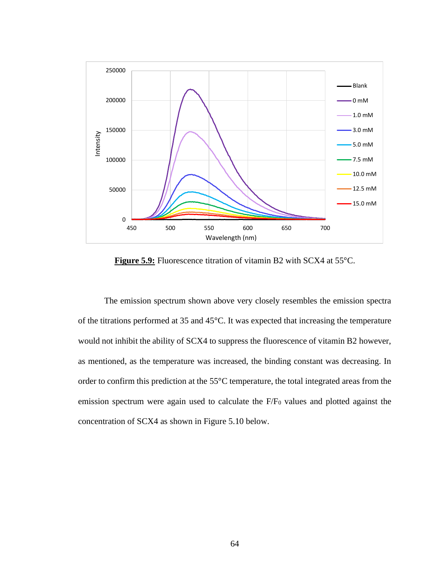

**Figure 5.9:** Fluorescence titration of vitamin B2 with SCX4 at 55°C.

The emission spectrum shown above very closely resembles the emission spectra of the titrations performed at 35 and 45°C. It was expected that increasing the temperature would not inhibit the ability of SCX4 to suppress the fluorescence of vitamin B2 however, as mentioned, as the temperature was increased, the binding constant was decreasing. In order to confirm this prediction at the 55°C temperature, the total integrated areas from the emission spectrum were again used to calculate the F/F<sub>0</sub> values and plotted against the concentration of SCX4 as shown in Figure 5.10 below.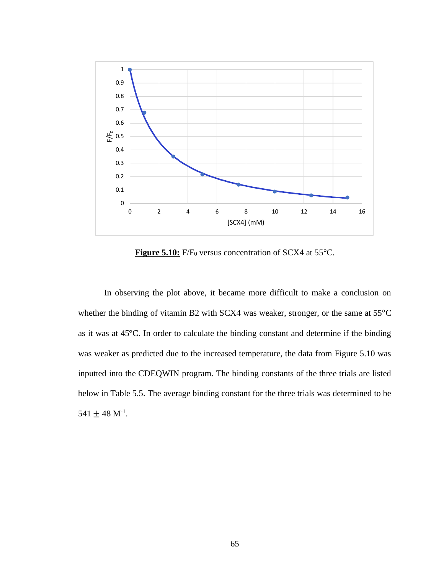

Figure 5.10: F/F<sub>0</sub> versus concentration of SCX4 at 55<sup>o</sup>C.

In observing the plot above, it became more difficult to make a conclusion on whether the binding of vitamin B2 with SCX4 was weaker, stronger, or the same at 55°C as it was at 45°C. In order to calculate the binding constant and determine if the binding was weaker as predicted due to the increased temperature, the data from Figure 5.10 was inputted into the CDEQWIN program. The binding constants of the three trials are listed below in Table 5.5. The average binding constant for the three trials was determined to be  $541 \pm 48$  M<sup>-1</sup>.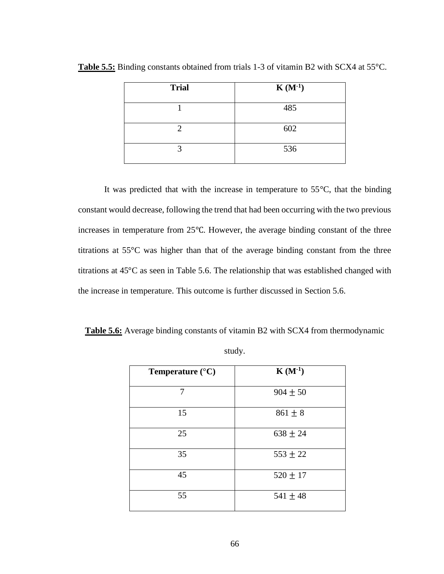| <b>Trial</b> | $K(M^{-1})$ |
|--------------|-------------|
|              | 485         |
|              | 602         |
|              | 536         |

**Table 5.5:** Binding constants obtained from trials 1-3 of vitamin B2 with SCX4 at 55°C.

It was predicted that with the increase in temperature to 55°C, that the binding constant would decrease, following the trend that had been occurring with the two previous increases in temperature from 25℃. However, the average binding constant of the three titrations at 55°C was higher than that of the average binding constant from the three titrations at 45°C as seen in Table 5.6. The relationship that was established changed with the increase in temperature. This outcome is further discussed in Section 5.6.

**Table 5.6:** Average binding constants of vitamin B2 with SCX4 from thermodynamic

| Temperature $(^{\circ}C)$ | $K(M^{-1})$  |
|---------------------------|--------------|
| 7                         | $904 \pm 50$ |
| 15                        | $861 \pm 8$  |
| 25                        | $638 \pm 24$ |
| 35                        | $553 \pm 22$ |
| 45                        | $520 \pm 17$ |
| 55                        | $541 \pm 48$ |

| ٧ |
|---|
|---|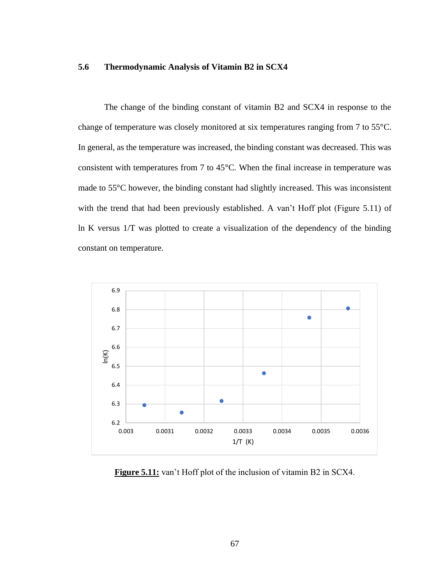# **5.6 Thermodynamic Analysis of Vitamin B2 in SCX4**

The change of the binding constant of vitamin B2 and SCX4 in response to the change of temperature was closely monitored at six temperatures ranging from 7 to 55°C. In general, as the temperature was increased, the binding constant was decreased. This was consistent with temperatures from 7 to 45°C. When the final increase in temperature was made to 55°C however, the binding constant had slightly increased. This was inconsistent with the trend that had been previously established. A van't Hoff plot (Figure 5.11) of ln K versus 1/T was plotted to create a visualization of the dependency of the binding constant on temperature.



**Figure 5.11:** van't Hoff plot of the inclusion of vitamin B2 in SCX4.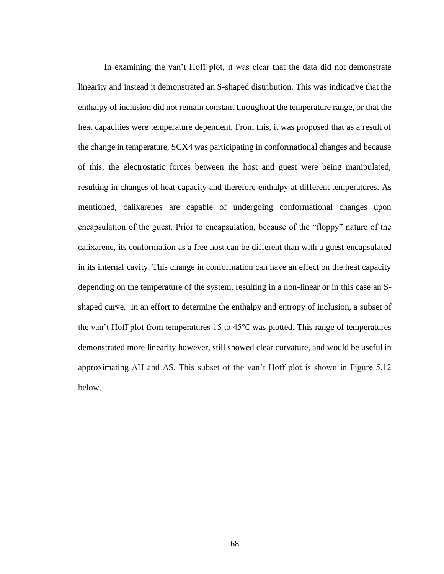In examining the van't Hoff plot, it was clear that the data did not demonstrate linearity and instead it demonstrated an S-shaped distribution. This was indicative that the enthalpy of inclusion did not remain constant throughout the temperature range, or that the heat capacities were temperature dependent. From this, it was proposed that as a result of the change in temperature, SCX4 was participating in conformational changes and because of this, the electrostatic forces between the host and guest were being manipulated, resulting in changes of heat capacity and therefore enthalpy at different temperatures. As mentioned, calixarenes are capable of undergoing conformational changes upon encapsulation of the guest. Prior to encapsulation, because of the "floppy" nature of the calixarene, its conformation as a free host can be different than with a guest encapsulated in its internal cavity. This change in conformation can have an effect on the heat capacity depending on the temperature of the system, resulting in a non-linear or in this case an Sshaped curve. In an effort to determine the enthalpy and entropy of inclusion, a subset of the van't Hoff plot from temperatures 15 to 45℃ was plotted. This range of temperatures demonstrated more linearity however, still showed clear curvature, and would be useful in approximating  $ΔH$  and  $ΔS$ . This subset of the van't Hoff plot is shown in Figure 5.12 below.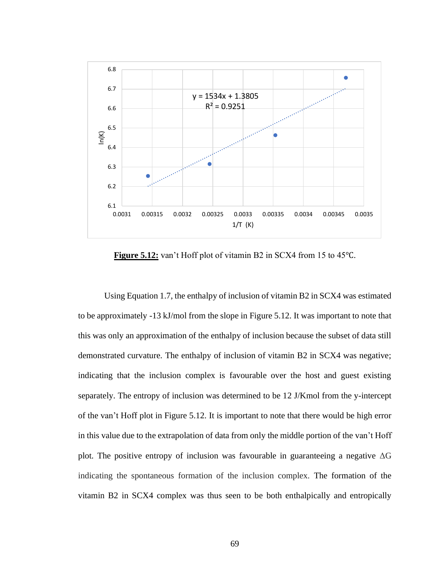

**Figure 5.12:** van't Hoff plot of vitamin B2 in SCX4 from 15 to 45℃.

Using Equation 1.7, the enthalpy of inclusion of vitamin B2 in SCX4 was estimated to be approximately -13 kJ/mol from the slope in Figure 5.12. It was important to note that this was only an approximation of the enthalpy of inclusion because the subset of data still demonstrated curvature. The enthalpy of inclusion of vitamin B2 in SCX4 was negative; indicating that the inclusion complex is favourable over the host and guest existing separately. The entropy of inclusion was determined to be 12 J/Kmol from the y-intercept of the van't Hoff plot in Figure 5.12. It is important to note that there would be high error in this value due to the extrapolation of data from only the middle portion of the van't Hoff plot. The positive entropy of inclusion was favourable in guaranteeing a negative  $\Delta G$ indicating the spontaneous formation of the inclusion complex. The formation of the vitamin B2 in SCX4 complex was thus seen to be both enthalpically and entropically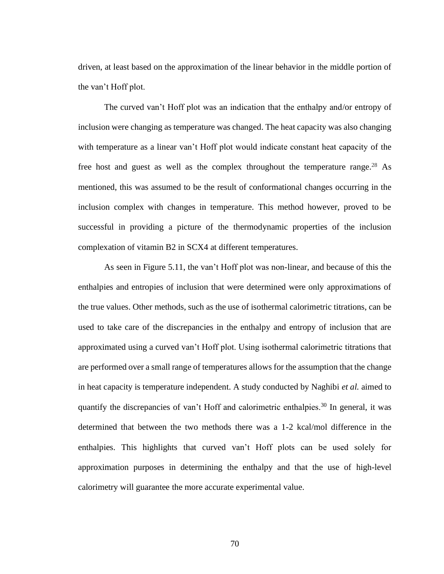driven, at least based on the approximation of the linear behavior in the middle portion of the van't Hoff plot.

The curved van't Hoff plot was an indication that the enthalpy and/or entropy of inclusion were changing as temperature was changed. The heat capacity was also changing with temperature as a linear van't Hoff plot would indicate constant heat capacity of the free host and guest as well as the complex throughout the temperature range.<sup>28</sup> As mentioned, this was assumed to be the result of conformational changes occurring in the inclusion complex with changes in temperature. This method however, proved to be successful in providing a picture of the thermodynamic properties of the inclusion complexation of vitamin B2 in SCX4 at different temperatures.

As seen in Figure 5.11, the van't Hoff plot was non-linear, and because of this the enthalpies and entropies of inclusion that were determined were only approximations of the true values. Other methods, such as the use of isothermal calorimetric titrations, can be used to take care of the discrepancies in the enthalpy and entropy of inclusion that are approximated using a curved van't Hoff plot. Using isothermal calorimetric titrations that are performed over a small range of temperatures allows for the assumption that the change in heat capacity is temperature independent. A study conducted by Naghibi *et al.* aimed to quantify the discrepancies of van't Hoff and calorimetric enthalpies.<sup>30</sup> In general, it was determined that between the two methods there was a 1-2 kcal/mol difference in the enthalpies. This highlights that curved van't Hoff plots can be used solely for approximation purposes in determining the enthalpy and that the use of high-level calorimetry will guarantee the more accurate experimental value.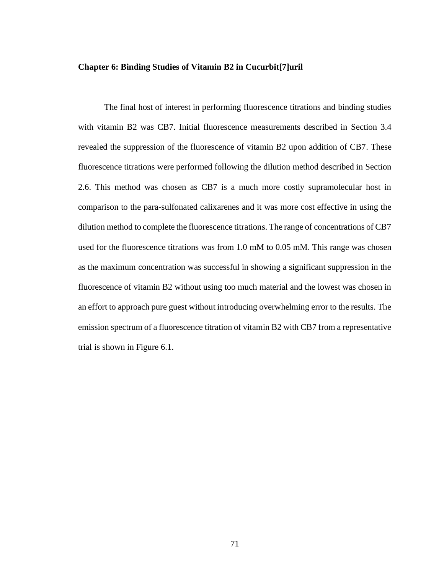### **Chapter 6: Binding Studies of Vitamin B2 in Cucurbit[7]uril**

The final host of interest in performing fluorescence titrations and binding studies with vitamin B2 was CB7. Initial fluorescence measurements described in Section 3.4 revealed the suppression of the fluorescence of vitamin B2 upon addition of CB7. These fluorescence titrations were performed following the dilution method described in Section 2.6. This method was chosen as CB7 is a much more costly supramolecular host in comparison to the para-sulfonated calixarenes and it was more cost effective in using the dilution method to complete the fluorescence titrations. The range of concentrations of CB7 used for the fluorescence titrations was from 1.0 mM to 0.05 mM. This range was chosen as the maximum concentration was successful in showing a significant suppression in the fluorescence of vitamin B2 without using too much material and the lowest was chosen in an effort to approach pure guest without introducing overwhelming error to the results. The emission spectrum of a fluorescence titration of vitamin B2 with CB7 from a representative trial is shown in Figure 6.1.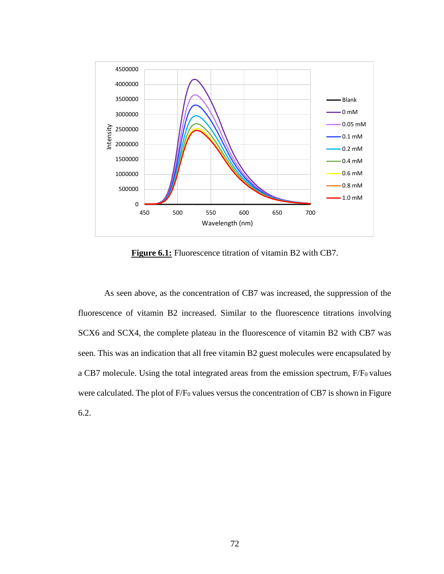

**Figure 6.1:** Fluorescence titration of vitamin B2 with CB7.

As seen above, as the concentration of CB7 was increased, the suppression of the fluorescence of vitamin B2 increased. Similar to the fluorescence titrations involving SCX6 and SCX4, the complete plateau in the fluorescence of vitamin B2 with CB7 was seen. This was an indication that all free vitamin B2 guest molecules were encapsulated by a CB7 molecule. Using the total integrated areas from the emission spectrum, F/F<sub>0</sub> values were calculated. The plot of F/F<sub>0</sub> values versus the concentration of CB7 is shown in Figure 6.2.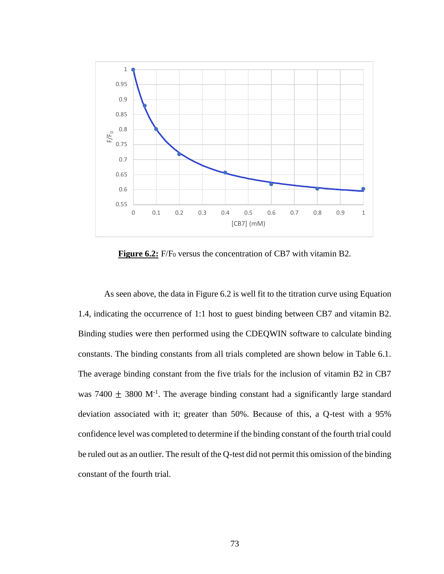

**Figure 6.2:** F/F<sub>0</sub> versus the concentration of CB7 with vitamin B2.

As seen above, the data in Figure 6.2 is well fit to the titration curve using Equation 1.4, indicating the occurrence of 1:1 host to guest binding between CB7 and vitamin B2. Binding studies were then performed using the CDEQWIN software to calculate binding constants. The binding constants from all trials completed are shown below in Table 6.1. The average binding constant from the five trials for the inclusion of vitamin B2 in CB7 was  $7400 \pm 3800$  M<sup>-1</sup>. The average binding constant had a significantly large standard deviation associated with it; greater than 50%. Because of this, a Q-test with a 95% confidence level was completed to determine if the binding constant of the fourth trial could be ruled out as an outlier. The result of the Q-test did not permit this omission of the binding constant of the fourth trial.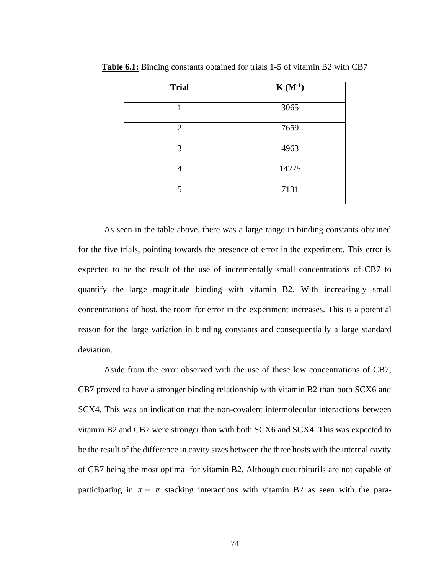| <b>Trial</b>   | $K(M^{-1})$ |
|----------------|-------------|
|                | 3065        |
| $\overline{2}$ | 7659        |
| 3              | 4963        |
| 4              | 14275       |
| 5              | 7131        |

**Table 6.1:** Binding constants obtained for trials 1-5 of vitamin B2 with CB7

As seen in the table above, there was a large range in binding constants obtained for the five trials, pointing towards the presence of error in the experiment. This error is expected to be the result of the use of incrementally small concentrations of CB7 to quantify the large magnitude binding with vitamin B2. With increasingly small concentrations of host, the room for error in the experiment increases. This is a potential reason for the large variation in binding constants and consequentially a large standard deviation.

Aside from the error observed with the use of these low concentrations of CB7, CB7 proved to have a stronger binding relationship with vitamin B2 than both SCX6 and SCX4. This was an indication that the non-covalent intermolecular interactions between vitamin B2 and CB7 were stronger than with both SCX6 and SCX4. This was expected to be the result of the difference in cavity sizes between the three hosts with the internal cavity of CB7 being the most optimal for vitamin B2. Although cucurbiturils are not capable of participating in  $\pi - \pi$  stacking interactions with vitamin B2 as seen with the para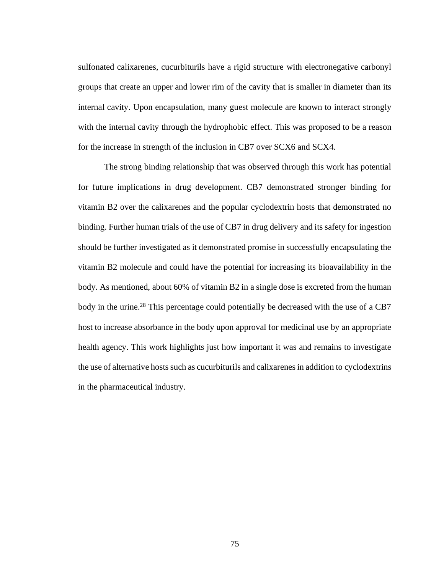sulfonated calixarenes, cucurbiturils have a rigid structure with electronegative carbonyl groups that create an upper and lower rim of the cavity that is smaller in diameter than its internal cavity. Upon encapsulation, many guest molecule are known to interact strongly with the internal cavity through the hydrophobic effect. This was proposed to be a reason for the increase in strength of the inclusion in CB7 over SCX6 and SCX4.

The strong binding relationship that was observed through this work has potential for future implications in drug development. CB7 demonstrated stronger binding for vitamin B2 over the calixarenes and the popular cyclodextrin hosts that demonstrated no binding. Further human trials of the use of CB7 in drug delivery and its safety for ingestion should be further investigated as it demonstrated promise in successfully encapsulating the vitamin B2 molecule and could have the potential for increasing its bioavailability in the body. As mentioned, about 60% of vitamin B2 in a single dose is excreted from the human body in the urine.<sup>28</sup> This percentage could potentially be decreased with the use of a CB7 host to increase absorbance in the body upon approval for medicinal use by an appropriate health agency. This work highlights just how important it was and remains to investigate the use of alternative hosts such as cucurbiturils and calixarenes in addition to cyclodextrins in the pharmaceutical industry.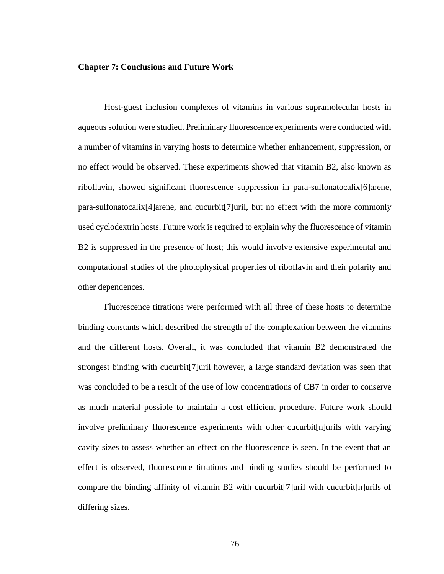### **Chapter 7: Conclusions and Future Work**

Host-guest inclusion complexes of vitamins in various supramolecular hosts in aqueous solution were studied. Preliminary fluorescence experiments were conducted with a number of vitamins in varying hosts to determine whether enhancement, suppression, or no effect would be observed. These experiments showed that vitamin B2, also known as riboflavin, showed significant fluorescence suppression in para-sulfonatocalix[6]arene, para-sulfonatocalix[4]arene, and cucurbit[7]uril, but no effect with the more commonly used cyclodextrin hosts. Future work is required to explain why the fluorescence of vitamin B2 is suppressed in the presence of host; this would involve extensive experimental and computational studies of the photophysical properties of riboflavin and their polarity and other dependences.

Fluorescence titrations were performed with all three of these hosts to determine binding constants which described the strength of the complexation between the vitamins and the different hosts. Overall, it was concluded that vitamin B2 demonstrated the strongest binding with cucurbit[7]uril however, a large standard deviation was seen that was concluded to be a result of the use of low concentrations of CB7 in order to conserve as much material possible to maintain a cost efficient procedure. Future work should involve preliminary fluorescence experiments with other cucurbit[n]urils with varying cavity sizes to assess whether an effect on the fluorescence is seen. In the event that an effect is observed, fluorescence titrations and binding studies should be performed to compare the binding affinity of vitamin B2 with cucurbit[7]uril with cucurbit[n]urils of differing sizes.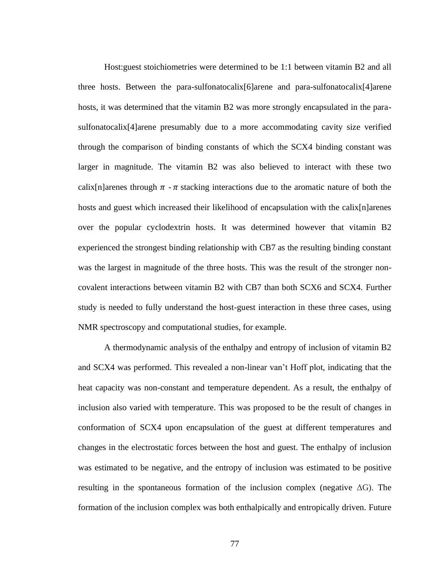Host:guest stoichiometries were determined to be 1:1 between vitamin B2 and all three hosts. Between the para-sulfonatocalix[6]arene and para-sulfonatocalix[4]arene hosts, it was determined that the vitamin B2 was more strongly encapsulated in the parasulfonatocalix[4]arene presumably due to a more accommodating cavity size verified through the comparison of binding constants of which the SCX4 binding constant was larger in magnitude. The vitamin B2 was also believed to interact with these two calix[n]arenes through  $\pi$  -  $\pi$  stacking interactions due to the aromatic nature of both the hosts and guest which increased their likelihood of encapsulation with the calix[n]arenes over the popular cyclodextrin hosts. It was determined however that vitamin B2 experienced the strongest binding relationship with CB7 as the resulting binding constant was the largest in magnitude of the three hosts. This was the result of the stronger noncovalent interactions between vitamin B2 with CB7 than both SCX6 and SCX4. Further study is needed to fully understand the host-guest interaction in these three cases, using NMR spectroscopy and computational studies, for example.

A thermodynamic analysis of the enthalpy and entropy of inclusion of vitamin B2 and SCX4 was performed. This revealed a non-linear van't Hoff plot, indicating that the heat capacity was non-constant and temperature dependent. As a result, the enthalpy of inclusion also varied with temperature. This was proposed to be the result of changes in conformation of SCX4 upon encapsulation of the guest at different temperatures and changes in the electrostatic forces between the host and guest. The enthalpy of inclusion was estimated to be negative, and the entropy of inclusion was estimated to be positive resulting in the spontaneous formation of the inclusion complex (negative  $\Delta G$ ). The formation of the inclusion complex was both enthalpically and entropically driven. Future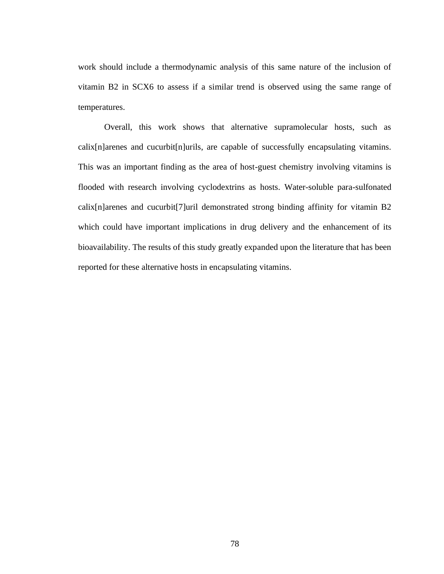work should include a thermodynamic analysis of this same nature of the inclusion of vitamin B2 in SCX6 to assess if a similar trend is observed using the same range of temperatures.

Overall, this work shows that alternative supramolecular hosts, such as calix[n]arenes and cucurbit[n]urils, are capable of successfully encapsulating vitamins. This was an important finding as the area of host-guest chemistry involving vitamins is flooded with research involving cyclodextrins as hosts. Water-soluble para-sulfonated calix[n]arenes and cucurbit[7]uril demonstrated strong binding affinity for vitamin B2 which could have important implications in drug delivery and the enhancement of its bioavailability. The results of this study greatly expanded upon the literature that has been reported for these alternative hosts in encapsulating vitamins.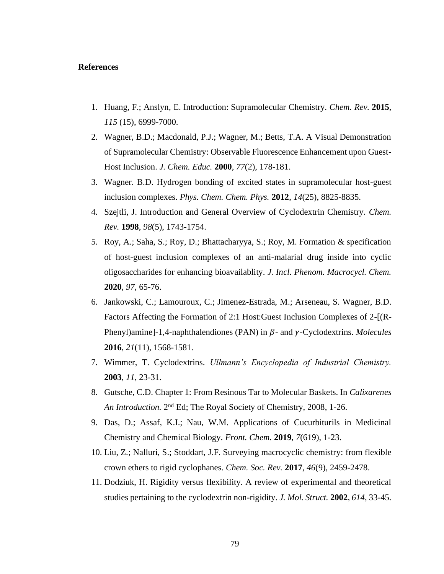### **References**

- 1. Huang, F.; Anslyn, E. Introduction: Supramolecular Chemistry. *Chem. Rev.* **2015**, *115* (15), 6999-7000.
- 2. Wagner, B.D.; Macdonald, P.J.; Wagner, M.; Betts, T.A. A Visual Demonstration of Supramolecular Chemistry: Observable Fluorescence Enhancement upon Guest-Host Inclusion. *J. Chem. Educ.* **2000**, *77*(2), 178-181.
- 3. Wagner. B.D. Hydrogen bonding of excited states in supramolecular host-guest inclusion complexes. *Phys. Chem. Chem. Phys.* **2012**, *14*(25), 8825-8835.
- 4. Szejtli, J. Introduction and General Overview of Cyclodextrin Chemistry. *Chem. Rev.* **1998**, *98*(5), 1743-1754.
- 5. Roy, A.; Saha, S.; Roy, D.; Bhattacharyya, S.; Roy, M. Formation & specification of host-guest inclusion complexes of an anti-malarial drug inside into cyclic oligosaccharides for enhancing bioavailablity. *J. Incl. Phenom. Macrocycl. Chem.*  **2020**, *97*, 65-76.
- 6. Jankowski, C.; Lamouroux, C.; Jimenez-Estrada, M.; Arseneau, S. Wagner, B.D. Factors Affecting the Formation of 2:1 Host:Guest Inclusion Complexes of 2-[(R-Phenyl)amine]-1,4-naphthalendiones (PAN) in  $\beta$ - and  $\gamma$ -Cyclodextrins. *Molecules* **2016**, *21*(11), 1568-1581.
- 7. Wimmer, T. Cyclodextrins. *Ullmann's Encyclopedia of Industrial Chemistry.*  **2003**, *11*, 23-31.
- 8. Gutsche, C.D. Chapter 1: From Resinous Tar to Molecular Baskets. In *Calixarenes*  An Introduction. 2<sup>nd</sup> Ed; The Royal Society of Chemistry, 2008, 1-26.
- 9. Das, D.; Assaf, K.I.; Nau, W.M. Applications of Cucurbiturils in Medicinal Chemistry and Chemical Biology. *Front. Chem.* **2019**, *7*(619), 1-23.
- 10. Liu, Z.; Nalluri, S.; Stoddart, J.F. Surveying macrocyclic chemistry: from flexible crown ethers to rigid cyclophanes. *Chem. Soc. Rev.* **2017**, *46*(9), 2459-2478.
- 11. Dodziuk, H. Rigidity versus flexibility. A review of experimental and theoretical studies pertaining to the cyclodextrin non-rigidity. *J. Mol. Struct.* **2002**, *614*, 33-45.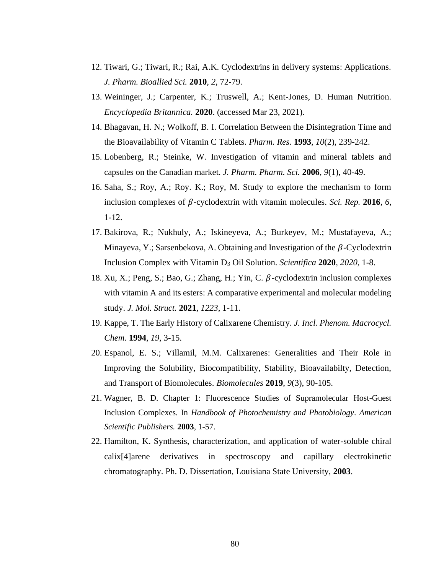- 12. Tiwari, G.; Tiwari, R.; Rai, A.K. Cyclodextrins in delivery systems: Applications. *J. Pharm. Bioallied Sci.* **2010**, *2*, 72-79.
- 13. Weininger, J.; Carpenter, K.; Truswell, A.; Kent-Jones, D. Human Nutrition. *Encyclopedia Britannica.* **2020**. (accessed Mar 23, 2021).
- 14. Bhagavan, H. N.; Wolkoff, B. I. Correlation Between the Disintegration Time and the Bioavailability of Vitamin C Tablets. *Pharm. Res.* **1993**, *10*(2), 239-242.
- 15. Lobenberg, R.; Steinke, W. Investigation of vitamin and mineral tablets and capsules on the Canadian market. *J. Pharm. Pharm. Sci.* **2006**, *9*(1), 40-49.
- 16. Saha, S.; Roy, A.; Roy. K.; Roy, M. Study to explore the mechanism to form inclusion complexes of  $\beta$ -cyclodextrin with vitamin molecules. *Sci. Rep.* 2016, 6, 1-12.
- 17. Bakirova, R.; Nukhuly, A.; Iskineyeva, A.; Burkeyev, M.; Mustafayeva, A.; Minayeva, Y.; Sarsenbekova, A. Obtaining and Investigation of the  $\beta$ -Cyclodextrin Inclusion Complex with Vitamin D<sup>3</sup> Oil Solution. *Scientifica* **2020**, *2020,* 1-8.
- 18. Xu, X.; Peng, S.; Bao, G.; Zhang, H.; Yin, C.  $\beta$ -cyclodextrin inclusion complexes with vitamin A and its esters: A comparative experimental and molecular modeling study. *J. Mol. Struct.* **2021**, *1223,* 1-11.
- 19. Kappe, T. The Early History of Calixarene Chemistry. *J. Incl. Phenom. Macrocycl. Chem.* **1994**, *19*, 3-15.
- 20. Espanol, E. S.; Villamil, M.M. Calixarenes: Generalities and Their Role in Improving the Solubility, Biocompatibility, Stability, Bioavailabilty, Detection, and Transport of Biomolecules. *Biomolecules* **2019**, *9*(3), 90-105.
- 21. Wagner, B. D. Chapter 1: Fluorescence Studies of Supramolecular Host-Guest Inclusion Complexes. In *Handbook of Photochemistry and Photobiology*. *American Scientific Publishers.* **2003**, 1-57.
- 22. Hamilton, K. Synthesis, characterization, and application of water-soluble chiral calix[4]arene derivatives in spectroscopy and capillary electrokinetic chromatography. Ph. D. Dissertation, Louisiana State University, **2003**.